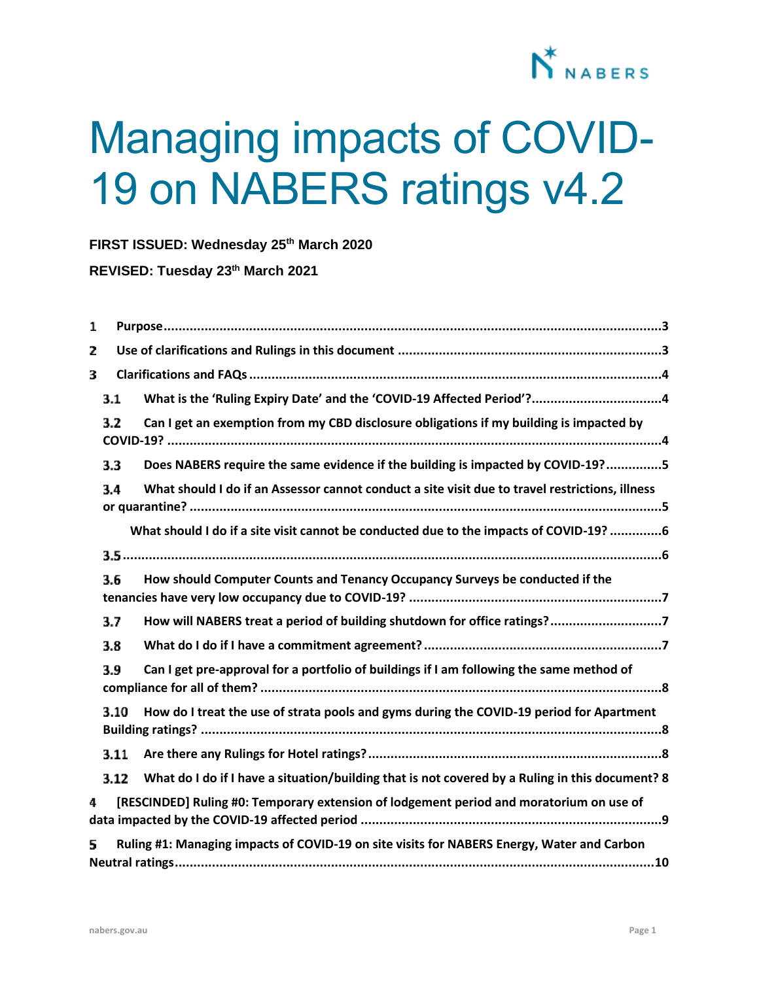

# Managing impacts of COVID-19 on NABERS ratings v4.2

**FIRST ISSUED: Wednesday 25th March 2020**

**REVISED: Tuesday 23th March 2021**

| 1 |      |                                                                                                 |
|---|------|-------------------------------------------------------------------------------------------------|
| 2 |      |                                                                                                 |
| 3 |      |                                                                                                 |
|   | 3.1  |                                                                                                 |
|   | 3.2  | Can I get an exemption from my CBD disclosure obligations if my building is impacted by         |
|   | 3.3  | Does NABERS require the same evidence if the building is impacted by COVID-19?5                 |
|   | 3.4  | What should I do if an Assessor cannot conduct a site visit due to travel restrictions, illness |
|   |      | What should I do if a site visit cannot be conducted due to the impacts of COVID-19? 6          |
|   |      |                                                                                                 |
|   | 3.6  | How should Computer Counts and Tenancy Occupancy Surveys be conducted if the                    |
|   | 3.7  | How will NABERS treat a period of building shutdown for office ratings?7                        |
|   | 3.8  |                                                                                                 |
|   | 3.9  | Can I get pre-approval for a portfolio of buildings if I am following the same method of        |
|   | 3.10 | How do I treat the use of strata pools and gyms during the COVID-19 period for Apartment        |
|   | 3.11 |                                                                                                 |
|   | 3.12 | What do I do if I have a situation/building that is not covered by a Ruling in this document? 8 |
| 4 |      | [RESCINDED] Ruling #0: Temporary extension of lodgement period and moratorium on use of         |
| 5 |      | Ruling #1: Managing impacts of COVID-19 on site visits for NABERS Energy, Water and Carbon      |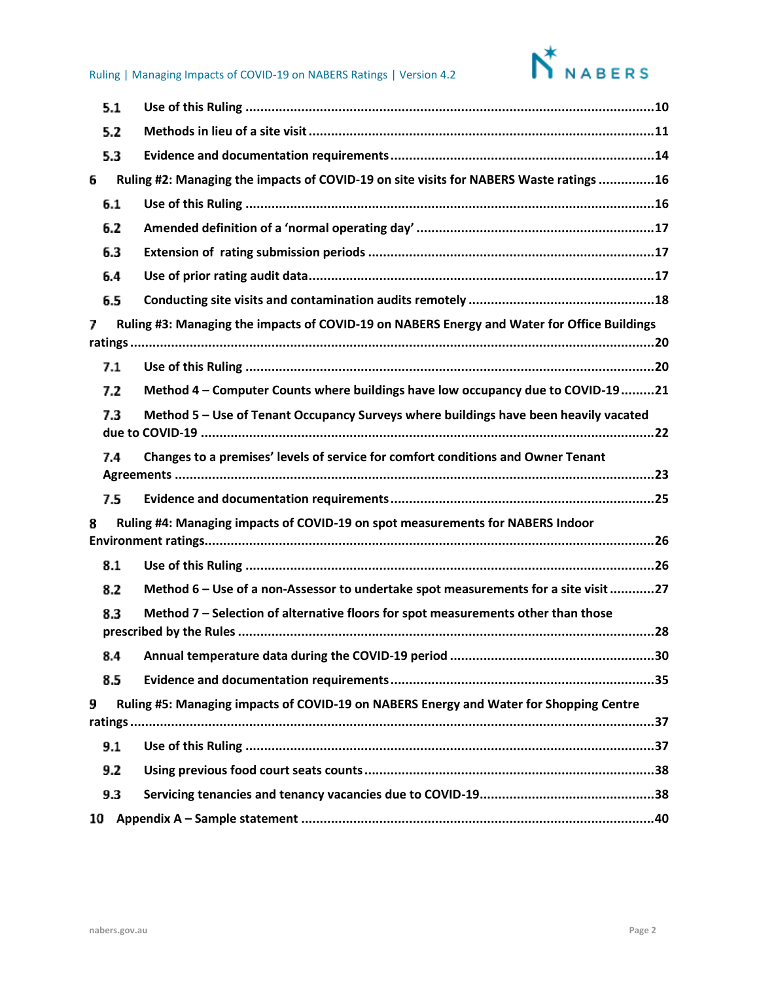

|     | 5.1 |                                                                                             |
|-----|-----|---------------------------------------------------------------------------------------------|
|     | 5.2 |                                                                                             |
|     | 5.3 |                                                                                             |
| 6   |     | Ruling #2: Managing the impacts of COVID-19 on site visits for NABERS Waste ratings 16      |
| 6.1 |     |                                                                                             |
|     | 6.2 |                                                                                             |
|     | 6.3 |                                                                                             |
|     | 6.4 |                                                                                             |
|     | 6.5 |                                                                                             |
| 7   |     | Ruling #3: Managing the impacts of COVID-19 on NABERS Energy and Water for Office Buildings |
|     |     |                                                                                             |
|     | 7.1 |                                                                                             |
|     | 7.2 | Method 4 - Computer Counts where buildings have low occupancy due to COVID-1921             |
|     | 7.3 | Method 5 - Use of Tenant Occupancy Surveys where buildings have been heavily vacated        |
|     | 7.4 | Changes to a premises' levels of service for comfort conditions and Owner Tenant            |
|     | 7.5 |                                                                                             |
| 8   |     | Ruling #4: Managing impacts of COVID-19 on spot measurements for NABERS Indoor              |
|     |     |                                                                                             |
|     | 8.1 |                                                                                             |
|     | 8.2 | Method 6 - Use of a non-Assessor to undertake spot measurements for a site visit 27         |
|     | 8.3 | Method 7 - Selection of alternative floors for spot measurements other than those           |
|     |     |                                                                                             |
|     |     | 30                                                                                          |
|     | 8.5 |                                                                                             |
| 9   |     | Ruling #5: Managing impacts of COVID-19 on NABERS Energy and Water for Shopping Centre      |
|     |     |                                                                                             |
|     | 9.1 |                                                                                             |
| 9.2 |     |                                                                                             |
|     | 9.3 |                                                                                             |
| 10  |     |                                                                                             |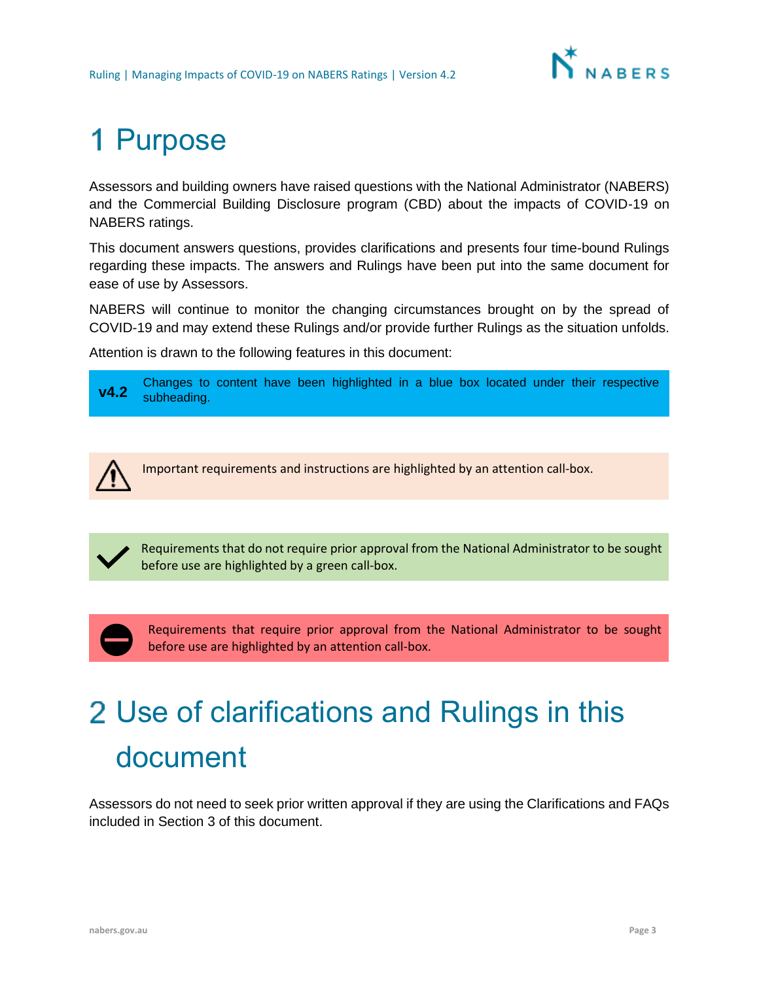

## <span id="page-2-0"></span>1 Purpose

Assessors and building owners have raised questions with the National Administrator (NABERS) and the Commercial Building Disclosure program (CBD) about the impacts of COVID-19 on NABERS ratings.

This document answers questions, provides clarifications and presents four time-bound Rulings regarding these impacts. The answers and Rulings have been put into the same document for ease of use by Assessors.

NABERS will continue to monitor the changing circumstances brought on by the spread of COVID-19 and may extend these Rulings and/or provide further Rulings as the situation unfolds.

Attention is drawn to the following features in this document:





Requirements that do not require prior approval from the National Administrator to be sought before use are highlighted by a green call-box.

Requirements that require prior approval from the National Administrator to be sought before use are highlighted by an attention call-box.

## <span id="page-2-1"></span>Use of clarifications and Rulings in this document

Assessors do not need to seek prior written approval if they are using the Clarifications and FAQs included in Section [3](#page-3-0) of this document.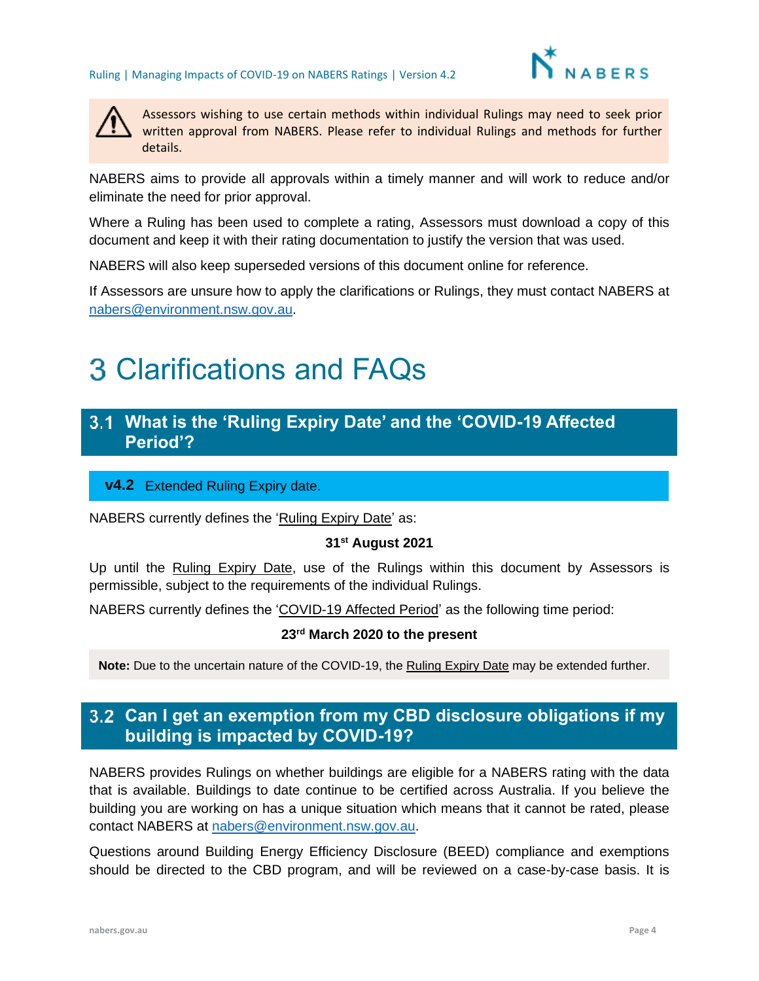



Assessors wishing to use certain methods within individual Rulings may need to seek prior written approval from NABERS. Please refer to individual Rulings and methods for further details.

NABERS aims to provide all approvals within a timely manner and will work to reduce and/or eliminate the need for prior approval.

Where a Ruling has been used to complete a rating, Assessors must download a copy of this document and keep it with their rating documentation to justify the version that was used.

NABERS will also keep superseded versions of this document online for reference.

If Assessors are unsure how to apply the clarifications or Rulings, they must contact NABERS at [nabers@environment.nsw.gov.au.](mailto:nabers@environment.nsw.gov.au)

## <span id="page-3-0"></span>Clarifications and FAQs

### <span id="page-3-1"></span>**What is the 'Ruling Expiry Date' and the 'COVID-19 Affected Period'?**

#### v4.2 Extended Ruling Expiry date.

NABERS currently defines the 'Ruling Expiry Date' as:

#### **31st August 2021**

Up until the Ruling Expiry Date, use of the Rulings within this document by Assessors is permissible, subject to the requirements of the individual Rulings.

NABERS currently defines the 'COVID-19 Affected Period' as the following time period:

#### **23rd March 2020 to the present**

<span id="page-3-2"></span>**Note:** Due to the uncertain nature of the COVID-19, the Ruling Expiry Date may be extended further.

## **Can I get an exemption from my CBD disclosure obligations if my building is impacted by COVID-19?**

NABERS provides Rulings on whether buildings are eligible for a NABERS rating with the data that is available. Buildings to date continue to be certified across Australia. If you believe the building you are working on has a unique situation which means that it cannot be rated, please contact NABERS at [nabers@environment.nsw.gov.au.](mailto:nabers@environment.nsw.gov.au)

Questions around Building Energy Efficiency Disclosure (BEED) compliance and exemptions should be directed to the CBD program, and will be reviewed on a case-by-case basis. It is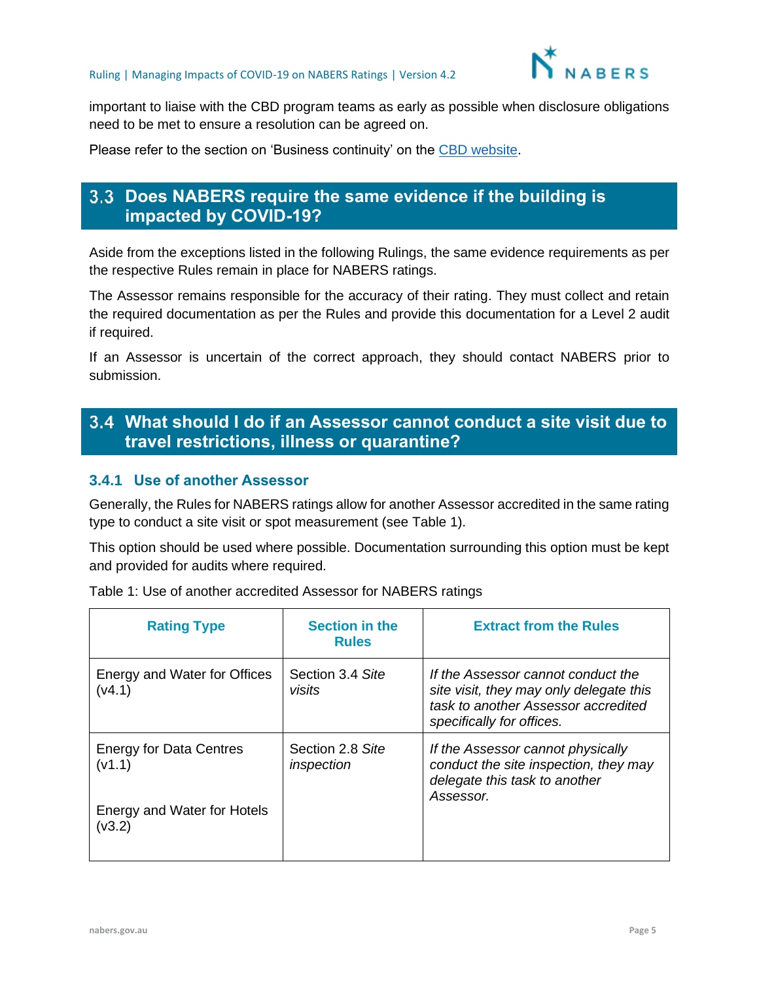

important to liaise with the CBD program teams as early as possible when disclosure obligations need to be met to ensure a resolution can be agreed on.

Please refer to the section on 'Business continuity' on the [CBD website.](http://cbd.gov.au/how-do-i-comply/how-we-monitor-compliance)

## <span id="page-4-0"></span>**Does NABERS require the same evidence if the building is impacted by COVID-19?**

Aside from the exceptions listed in the following Rulings, the same evidence requirements as per the respective Rules remain in place for NABERS ratings.

The Assessor remains responsible for the accuracy of their rating. They must collect and retain the required documentation as per the Rules and provide this documentation for a Level 2 audit if required.

If an Assessor is uncertain of the correct approach, they should contact NABERS prior to submission.

## <span id="page-4-1"></span>**What should I do if an Assessor cannot conduct a site visit due to travel restrictions, illness or quarantine?**

#### <span id="page-4-2"></span>**3.4.1 Use of another Assessor**

Generally, the Rules for NABERS ratings allow for another Assessor accredited in the same rating type to conduct a site visit or spot measurement (see Table 1).

This option should be used where possible. Documentation surrounding this option must be kept and provided for audits where required.

| <b>Rating Type</b>                                                                | <b>Section in the</b><br><b>Rules</b> | <b>Extract from the Rules</b>                                                                                                                     |
|-----------------------------------------------------------------------------------|---------------------------------------|---------------------------------------------------------------------------------------------------------------------------------------------------|
| Energy and Water for Offices<br>(v4.1)                                            | Section 3.4 Site<br>visits            | If the Assessor cannot conduct the<br>site visit, they may only delegate this<br>task to another Assessor accredited<br>specifically for offices. |
| <b>Energy for Data Centres</b><br>(v1.1)<br>Energy and Water for Hotels<br>(v3.2) | Section 2.8 Site<br>inspection        | If the Assessor cannot physically<br>conduct the site inspection, they may<br>delegate this task to another<br>Assessor.                          |

Table 1: Use of another accredited Assessor for NABERS ratings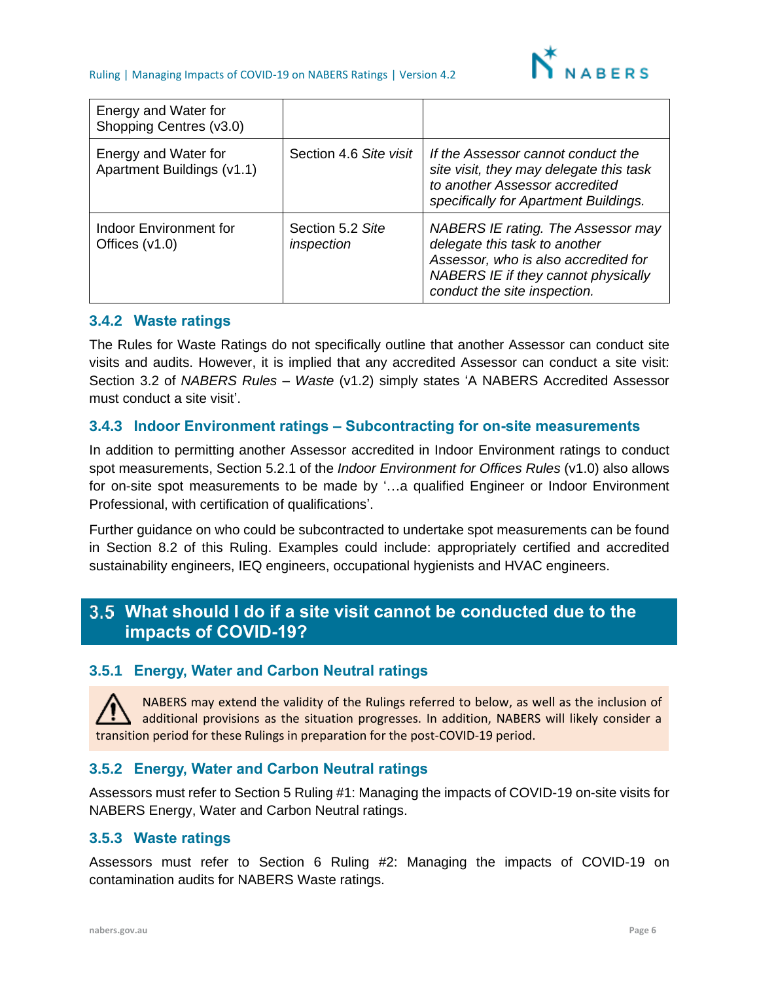

| Energy and Water for<br>Shopping Centres (v3.0)    |                                |                                                                                                                                                                                    |
|----------------------------------------------------|--------------------------------|------------------------------------------------------------------------------------------------------------------------------------------------------------------------------------|
| Energy and Water for<br>Apartment Buildings (v1.1) | Section 4.6 Site visit         | If the Assessor cannot conduct the<br>site visit, they may delegate this task<br>to another Assessor accredited<br>specifically for Apartment Buildings.                           |
| Indoor Environment for<br>Offices $(v1.0)$         | Section 5.2 Site<br>inspection | NABERS IE rating. The Assessor may<br>delegate this task to another<br>Assessor, who is also accredited for<br>NABERS IE if they cannot physically<br>conduct the site inspection. |

#### **3.4.2 Waste ratings**

The Rules for Waste Ratings do not specifically outline that another Assessor can conduct site visits and audits. However, it is implied that any accredited Assessor can conduct a site visit: Section 3.2 of *NABERS Rules – Waste* (v1.2) simply states 'A NABERS Accredited Assessor must conduct a site visit'.

#### **3.4.3 Indoor Environment ratings – Subcontracting for on-site measurements**

In addition to permitting another Assessor accredited in Indoor Environment ratings to conduct spot measurements, Section 5.2.1 of the *Indoor Environment for Offices Rules* (v1.0) also allows for on-site spot measurements to be made by '…a qualified Engineer or Indoor Environment Professional, with certification of qualifications'.

Further guidance on who could be subcontracted to undertake spot measurements can be found in Section [8.2](#page-26-0) of this Ruling. Examples could include: appropriately certified and accredited sustainability engineers, IEQ engineers, occupational hygienists and HVAC engineers.

## <span id="page-5-1"></span><span id="page-5-0"></span>**What should I do if a site visit cannot be conducted due to the impacts of COVID-19?**

#### **3.5.1 Energy, Water and Carbon Neutral ratings**

NABERS may extend the validity of the Rulings referred to below, as well as the inclusion of additional provisions as the situation progresses. In addition, NABERS will likely consider a transition period for these Rulings in preparation for the post-COVID-19 period.

#### **3.5.2 Energy, Water and Carbon Neutral ratings**

Assessors must refer to Section 5 Ruling #1: Managing the impacts of COVID-19 on-site visits for NABERS Energy, Water and Carbon Neutral ratings.

#### **3.5.3 Waste ratings**

Assessors must refer to Section 6 Ruling #2: Managing the impacts of COVID-19 on contamination audits for NABERS Waste ratings.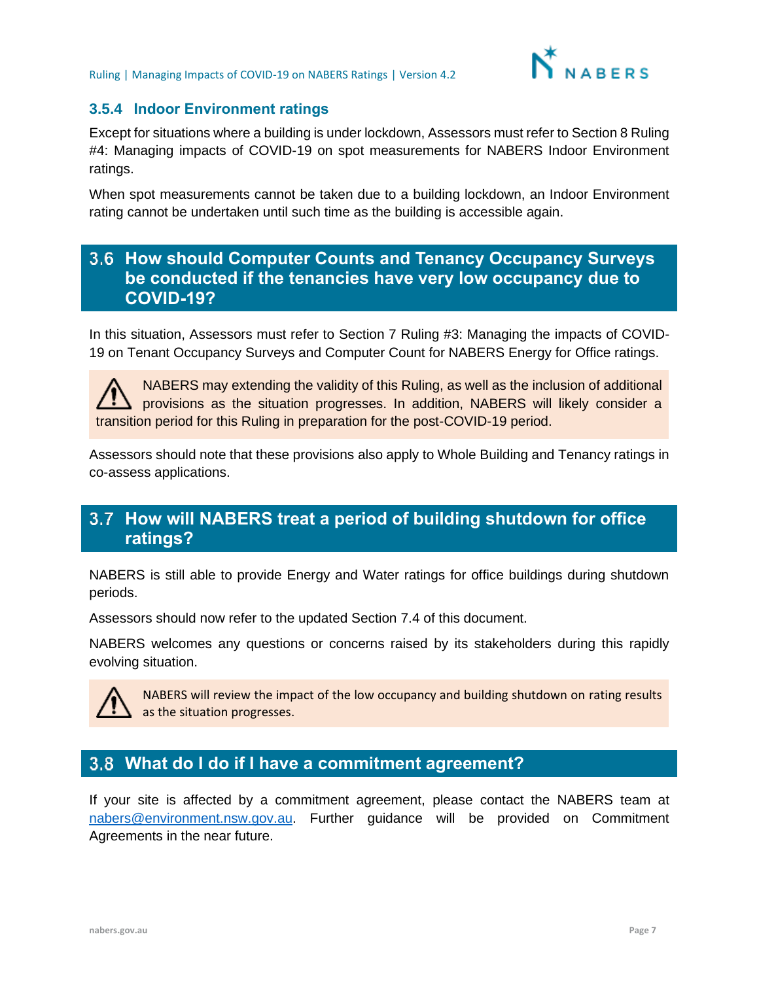

#### **3.5.4 Indoor Environment ratings**

Except for situations where a building is under lockdown, Assessors must refer to Section 8 Ruling #4: Managing impacts of COVID-19 on spot measurements for NABERS Indoor Environment ratings.

When spot measurements cannot be taken due to a building lockdown, an Indoor Environment rating cannot be undertaken until such time as the building is accessible again.

## <span id="page-6-0"></span>**How should Computer Counts and Tenancy Occupancy Surveys be conducted if the tenancies have very low occupancy due to COVID-19?**

In this situation, Assessors must refer to Section 7 Ruling #3: Managing the impacts of COVID-19 on Tenant Occupancy Surveys and Computer Count for NABERS Energy for Office ratings.

NABERS may extending the validity of this Ruling, as well as the inclusion of additional provisions as the situation progresses. In addition, NABERS will likely consider a transition period for this Ruling in preparation for the post-COVID-19 period.

Assessors should note that these provisions also apply to Whole Building and Tenancy ratings in co-assess applications.

## <span id="page-6-1"></span>**How will NABERS treat a period of building shutdown for office ratings?**

NABERS is still able to provide Energy and Water ratings for office buildings during shutdown periods.

Assessors should now refer to the updated Section [7.4](#page-22-0) of this document.

NABERS welcomes any questions or concerns raised by its stakeholders during this rapidly evolving situation.



NABERS will review the impact of the low occupancy and building shutdown on rating results as the situation progresses.

## <span id="page-6-2"></span>**What do I do if I have a commitment agreement?**

If your site is affected by a commitment agreement, please contact the NABERS team at [nabers@environment.nsw.gov.au.](mailto:nabers@environment.nsw.gov.au) Further guidance will be provided on Commitment Agreements in the near future.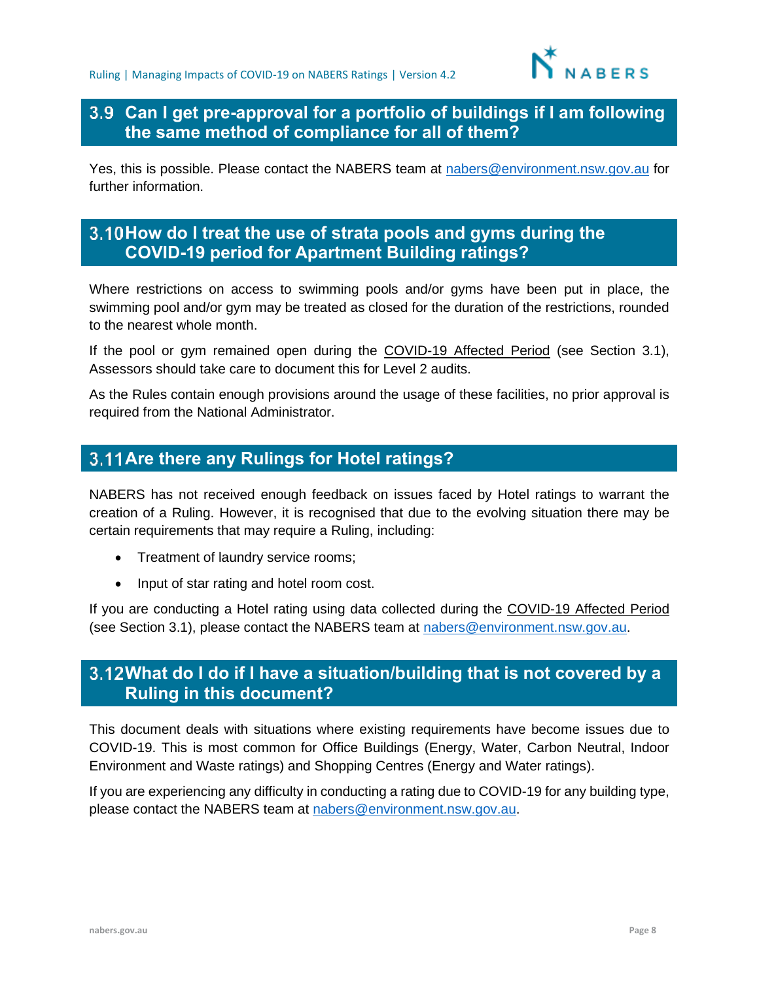

## <span id="page-7-0"></span>**Can I get pre-approval for a portfolio of buildings if I am following the same method of compliance for all of them?**

Yes, this is possible. Please contact the NABERS team at [nabers@environment.nsw.gov.au](mailto:nabers@environment.nsw.gov.au) for further information.

## <span id="page-7-1"></span>**How do I treat the use of strata pools and gyms during the COVID-19 period for Apartment Building ratings?**

Where restrictions on access to swimming pools and/or gyms have been put in place, the swimming pool and/or gym may be treated as closed for the duration of the restrictions, rounded to the nearest whole month.

If the pool or gym remained open during the COVID-19 Affected Period (see Section 3.1), Assessors should take care to document this for Level 2 audits.

As the Rules contain enough provisions around the usage of these facilities, no prior approval is required from the National Administrator.

## <span id="page-7-2"></span>**Are there any Rulings for Hotel ratings?**

NABERS has not received enough feedback on issues faced by Hotel ratings to warrant the creation of a Ruling. However, it is recognised that due to the evolving situation there may be certain requirements that may require a Ruling, including:

- Treatment of laundry service rooms;
- Input of star rating and hotel room cost.

If you are conducting a Hotel rating using data collected during the COVID-19 Affected Period (see Section [3.1\)](#page-3-1), please contact the NABERS team at [nabers@environment.nsw.gov.au.](mailto:nabers@environment.nsw.gov.au)

## <span id="page-7-3"></span>**What do I do if I have a situation/building that is not covered by a Ruling in this document?**

This document deals with situations where existing requirements have become issues due to COVID-19. This is most common for Office Buildings (Energy, Water, Carbon Neutral, Indoor Environment and Waste ratings) and Shopping Centres (Energy and Water ratings).

If you are experiencing any difficulty in conducting a rating due to COVID-19 for any building type, please contact the NABERS team at [nabers@environment.nsw.gov.au.](mailto:nabers@environment.nsw.gov.au)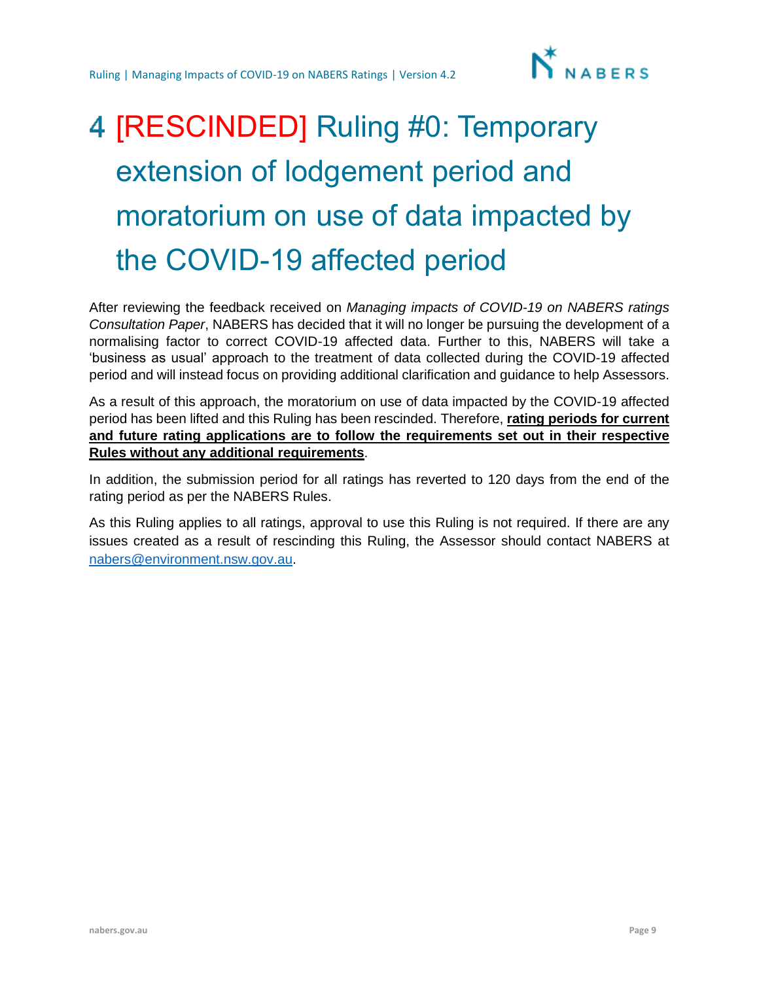

# <span id="page-8-0"></span>4 [RESCINDED] Ruling #0: Temporary extension of lodgement period and moratorium on use of data impacted by the COVID-19 affected period

After reviewing the feedback received on *Managing impacts of COVID-19 on NABERS ratings Consultation Paper*, NABERS has decided that it will no longer be pursuing the development of a normalising factor to correct COVID-19 affected data. Further to this, NABERS will take a 'business as usual' approach to the treatment of data collected during the COVID-19 affected period and will instead focus on providing additional clarification and guidance to help Assessors.

As a result of this approach, the moratorium on use of data impacted by the COVID-19 affected period has been lifted and this Ruling has been rescinded. Therefore, **rating periods for current and future rating applications are to follow the requirements set out in their respective Rules without any additional requirements**.

In addition, the submission period for all ratings has reverted to 120 days from the end of the rating period as per the NABERS Rules.

As this Ruling applies to all ratings, approval to use this Ruling is not required. If there are any issues created as a result of rescinding this Ruling, the Assessor should contact NABERS at [nabers@environment.nsw.gov.au.](mailto:nabers@environment.nsw.gov.au)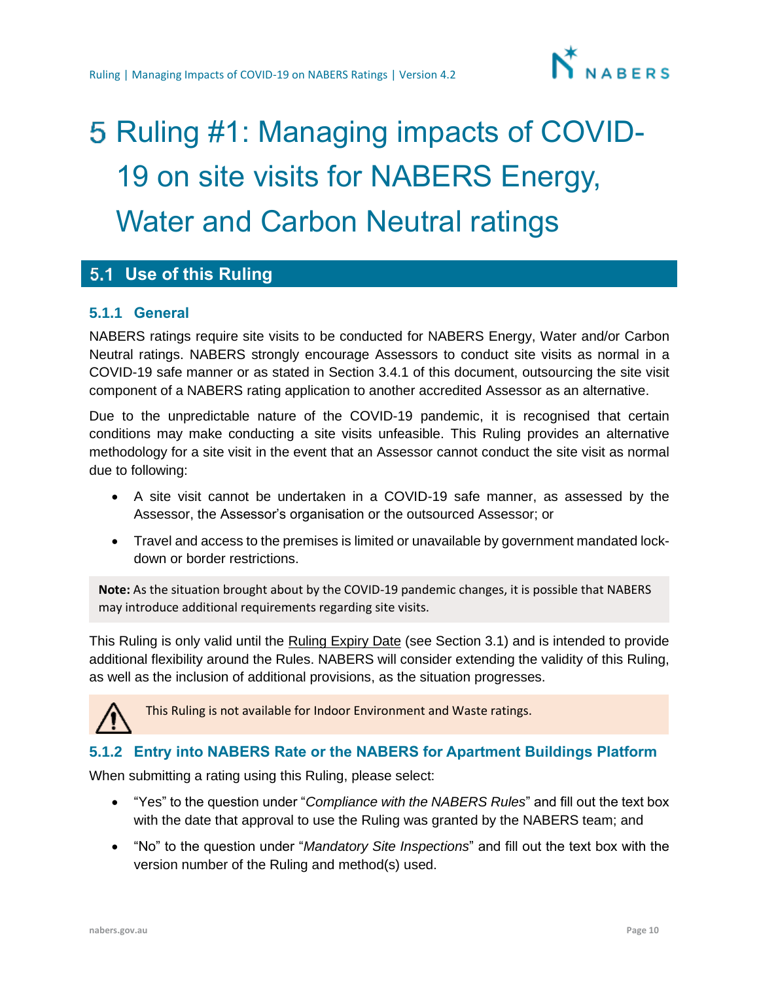

# <span id="page-9-0"></span>5 Ruling #1: Managing impacts of COVID-19 on site visits for NABERS Energy, Water and Carbon Neutral ratings

## <span id="page-9-1"></span>**Use of this Ruling**

#### **5.1.1 General**

NABERS ratings require site visits to be conducted for NABERS Energy, Water and/or Carbon Neutral ratings. NABERS strongly encourage Assessors to conduct site visits as normal in a COVID-19 safe manner or as stated in Section [3.4.1](#page-4-2) of this document, outsourcing the site visit component of a NABERS rating application to another accredited Assessor as an alternative.

Due to the unpredictable nature of the COVID-19 pandemic, it is recognised that certain conditions may make conducting a site visits unfeasible. This Ruling provides an alternative methodology for a site visit in the event that an Assessor cannot conduct the site visit as normal due to following:

- A site visit cannot be undertaken in a COVID-19 safe manner, as assessed by the Assessor, the Assessor's organisation or the outsourced Assessor; or
- Travel and access to the premises is limited or unavailable by government mandated lockdown or border restrictions.

**Note:** As the situation brought about by the COVID-19 pandemic changes, it is possible that NABERS may introduce additional requirements regarding site visits.

This Ruling is only valid until the Ruling Expiry Date (see Section [3.1\)](#page-3-1) and is intended to provide additional flexibility around the Rules. NABERS will consider extending the validity of this Ruling, as well as the inclusion of additional provisions, as the situation progresses.



This Ruling is not available for Indoor Environment and Waste ratings.

### **5.1.2 Entry into NABERS Rate or the NABERS for Apartment Buildings Platform**

When submitting a rating using this Ruling, please select:

- "Yes" to the question under "*Compliance with the NABERS Rules*" and fill out the text box with the date that approval to use the Ruling was granted by the NABERS team; and
- "No" to the question under "*Mandatory Site Inspections*" and fill out the text box with the version number of the Ruling and method(s) used.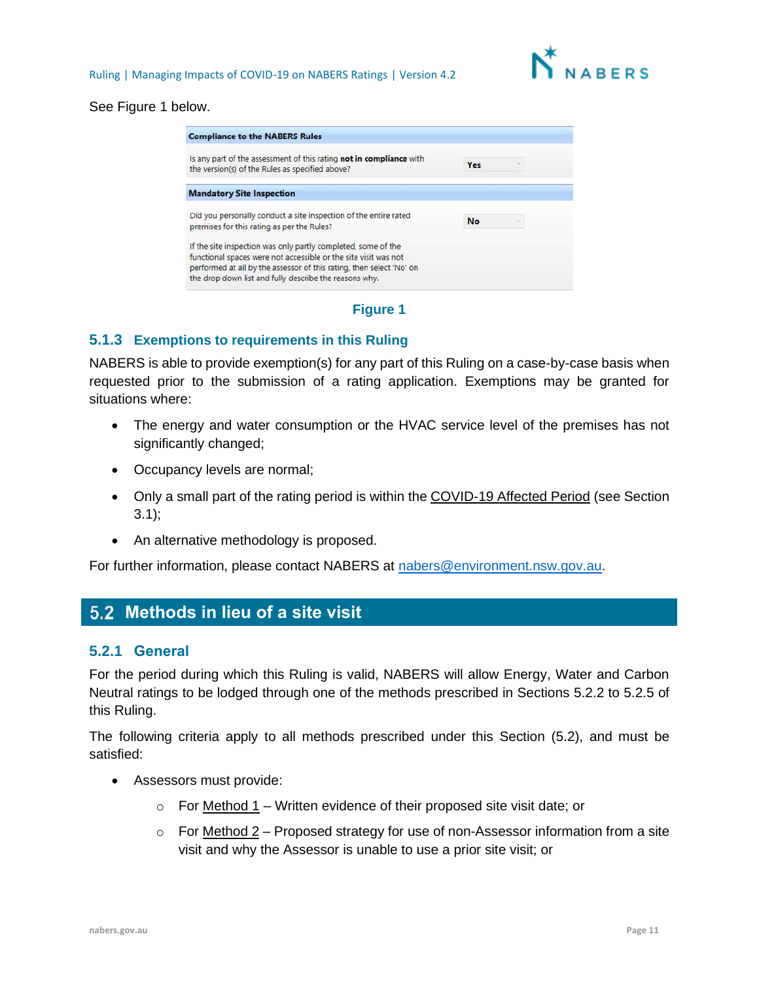

#### See Figure 1 below.

| <b>Compliance to the NABERS Rules</b>                                                                                                   |           |  |
|-----------------------------------------------------------------------------------------------------------------------------------------|-----------|--|
| Is any part of the assessment of this rating not in compliance with<br>the version(s) of the Rules as specified above?                  | Yes       |  |
| <b>Mandatory Site Inspection</b>                                                                                                        |           |  |
| Did you personally conduct a site inspection of the entire rated<br>premises for this rating as per the Rules?                          | <b>No</b> |  |
| If the site inspection was only partly completed, some of the                                                                           |           |  |
| functional spaces were not accessible or the site visit was not<br>performed at all by the assessor of this rating, then select 'No' on |           |  |
| the drop down list and fully describe the reasons why.                                                                                  |           |  |

#### **Figure 1**

#### **5.1.3 Exemptions to requirements in this Ruling**

NABERS is able to provide exemption(s) for any part of this Ruling on a case-by-case basis when requested prior to the submission of a rating application. Exemptions may be granted for situations where:

- The energy and water consumption or the HVAC service level of the premises has not significantly changed;
- Occupancy levels are normal;
- Only a small part of the rating period is within the COVID-19 Affected Period (see Section [3.1\)](#page-3-1);
- An alternative methodology is proposed.

For further information, please contact NABERS at [nabers@environment.nsw.gov.au.](mailto:nabers@environment.nsw.gov.au)

## <span id="page-10-0"></span>**Methods in lieu of a site visit**

#### <span id="page-10-1"></span>**5.2.1 General**

For the period during which this Ruling is valid, NABERS will allow Energy, Water and Carbon Neutral ratings to be lodged through one of the methods prescribed in Sections [5.2.2](#page-11-0) to [5.2.5](#page-12-0) of this Ruling.

The following criteria apply to all methods prescribed under this Section (5.2), and must be satisfied:

- Assessors must provide:
	- $\circ$  For Method 1 Written evidence of their proposed site visit date; or
	- $\circ$  For Method 2 Proposed strategy for use of non-Assessor information from a site visit and why the Assessor is unable to use a prior site visit; or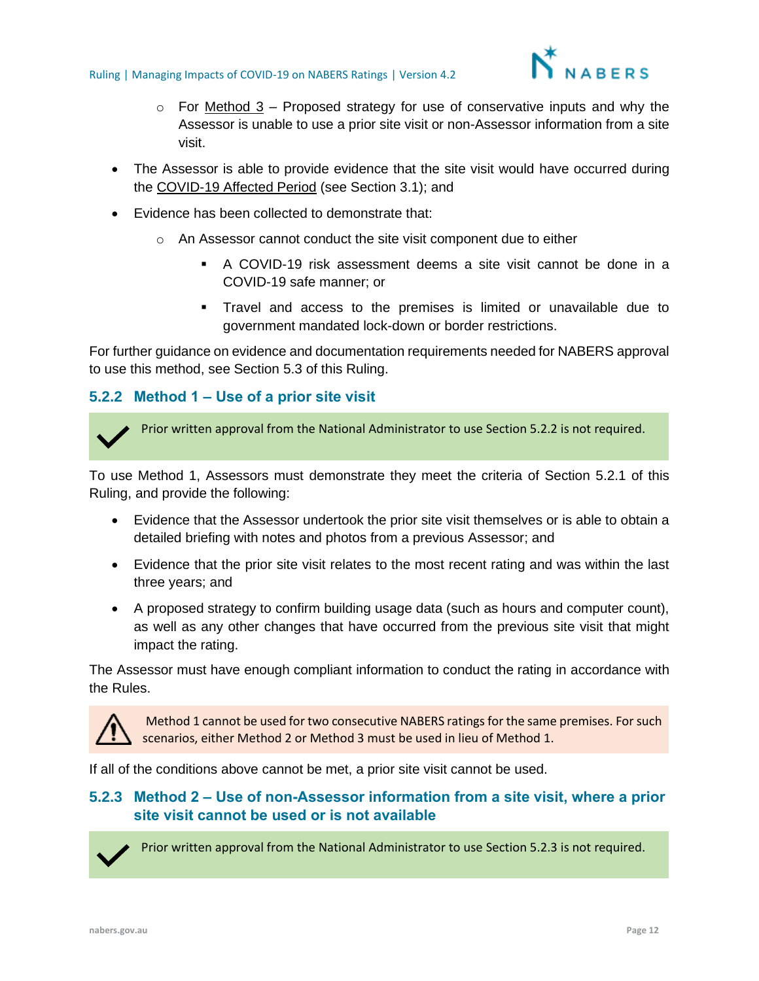

- $\circ$  For Method 3 Proposed strategy for use of conservative inputs and why the Assessor is unable to use a prior site visit or non-Assessor information from a site visit.
- The Assessor is able to provide evidence that the site visit would have occurred during the COVID-19 Affected Period (see Section [3.1\)](#page-3-1); and
- Evidence has been collected to demonstrate that:
	- o An Assessor cannot conduct the site visit component due to either
		- A COVID-19 risk assessment deems a site visit cannot be done in a COVID-19 safe manner; or
		- Travel and access to the premises is limited or unavailable due to government mandated lock-down or border restrictions.

For further guidance on evidence and documentation requirements needed for NABERS approval to use this method, see Section [5.3](#page-13-0) of this Ruling.

#### <span id="page-11-0"></span>**5.2.2 Method 1 – Use of a prior site visit**



Prior written approval from the National Administrator to use Section 5.2.2 is not required.

To use Method 1, Assessors must demonstrate they meet the criteria of Section [5.2.1](#page-10-1) of this Ruling, and provide the following:

- Evidence that the Assessor undertook the prior site visit themselves or is able to obtain a detailed briefing with notes and photos from a previous Assessor; and
- Evidence that the prior site visit relates to the most recent rating and was within the last three years; and
- A proposed strategy to confirm building usage data (such as hours and computer count), as well as any other changes that have occurred from the previous site visit that might impact the rating.

The Assessor must have enough compliant information to conduct the rating in accordance with the Rules.



Method 1 cannot be used for two consecutive NABERS ratings for the same premises. For such scenarios, either Method 2 or Method 3 must be used in lieu of Method 1.

If all of the conditions above cannot be met, a prior site visit cannot be used.

#### **5.2.3 Method 2 – Use of non-Assessor information from a site visit, where a prior site visit cannot be used or is not available**



Prior written approval from the National Administrator to use Section 5.2.3 is not required.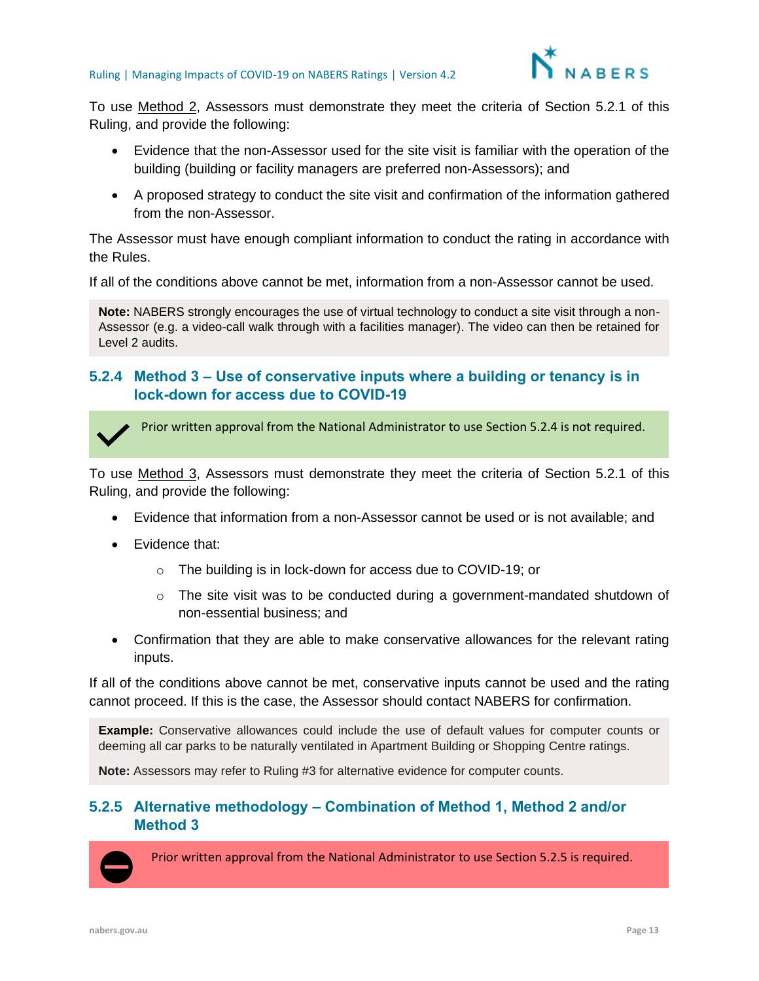

To use Method 2, Assessors must demonstrate they meet the criteria of Section 5.2.1 of this Ruling, and provide the following:

- Evidence that the non-Assessor used for the site visit is familiar with the operation of the building (building or facility managers are preferred non-Assessors); and
- A proposed strategy to conduct the site visit and confirmation of the information gathered from the non-Assessor.

The Assessor must have enough compliant information to conduct the rating in accordance with the Rules.

If all of the conditions above cannot be met, information from a non-Assessor cannot be used.

**Note:** NABERS strongly encourages the use of virtual technology to conduct a site visit through a non-Assessor (e.g. a video-call walk through with a facilities manager). The video can then be retained for Level 2 audits.

#### **5.2.4 Method 3 – Use of conservative inputs where a building or tenancy is in lock-down for access due to COVID-19**



Prior written approval from the National Administrator to use Section 5.2.4 is not required.

To use Method 3, Assessors must demonstrate they meet the criteria of Section 5.2.1 of this Ruling, and provide the following:

- Evidence that information from a non-Assessor cannot be used or is not available; and
- Evidence that:
	- o The building is in lock-down for access due to COVID-19; or
	- $\circ$  The site visit was to be conducted during a government-mandated shutdown of non-essential business; and
- Confirmation that they are able to make conservative allowances for the relevant rating inputs.

If all of the conditions above cannot be met, conservative inputs cannot be used and the rating cannot proceed. If this is the case, the Assessor should contact NABERS for confirmation.

**Example:** Conservative allowances could include the use of default values for computer counts or deeming all car parks to be naturally ventilated in Apartment Building or Shopping Centre ratings.

**Note:** Assessors may refer to Ruling #3 for alternative evidence for computer counts.

#### <span id="page-12-0"></span>**5.2.5 Alternative methodology – Combination of Method 1, Method 2 and/or Method 3**



Prior written approval from the National Administrator to use Section 5.2.5 is required.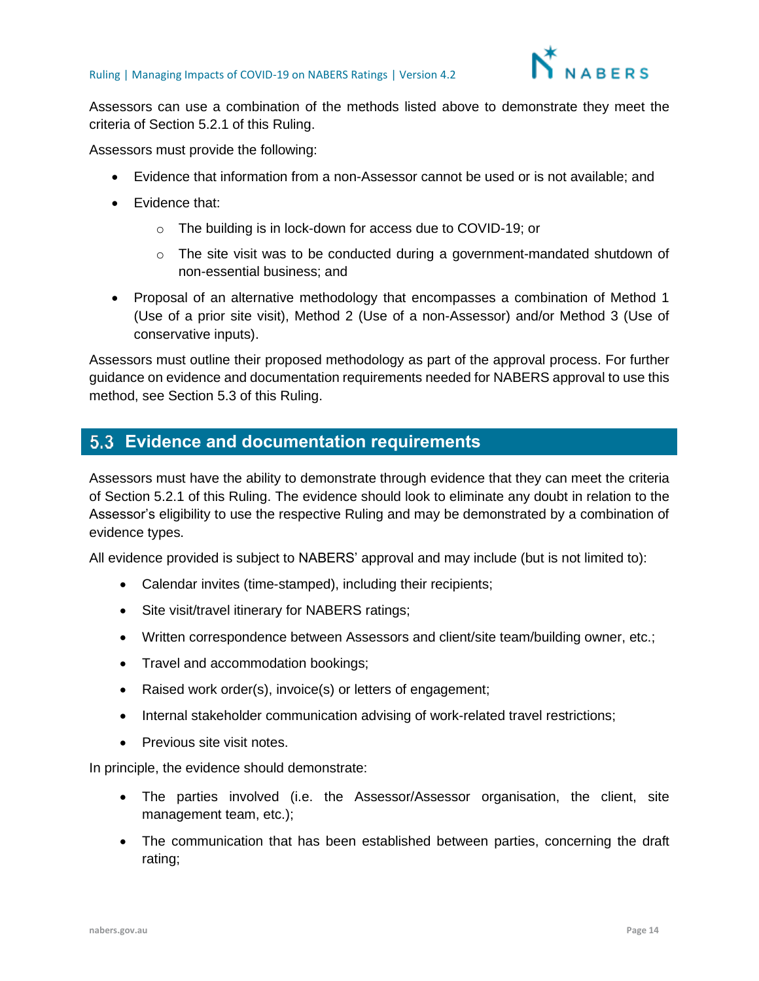

Assessors can use a combination of the methods listed above to demonstrate they meet the criteria of Section 5.2.1 of this Ruling.

Assessors must provide the following:

- Evidence that information from a non-Assessor cannot be used or is not available; and
- Evidence that:
	- o The building is in lock-down for access due to COVID-19; or
	- $\circ$  The site visit was to be conducted during a government-mandated shutdown of non-essential business; and
- Proposal of an alternative methodology that encompasses a combination of Method 1 (Use of a prior site visit), Method 2 (Use of a non-Assessor) and/or Method 3 (Use of conservative inputs).

Assessors must outline their proposed methodology as part of the approval process. For further guidance on evidence and documentation requirements needed for NABERS approval to use this method, see Section [5.3](#page-13-0) of this Ruling.

### <span id="page-13-0"></span>**Evidence and documentation requirements**

Assessors must have the ability to demonstrate through evidence that they can meet the criteria of Section [5.2.1](#page-10-1) of this Ruling. The evidence should look to eliminate any doubt in relation to the Assessor's eligibility to use the respective Ruling and may be demonstrated by a combination of evidence types.

All evidence provided is subject to NABERS' approval and may include (but is not limited to):

- Calendar invites (time-stamped), including their recipients;
- Site visit/travel itinerary for NABERS ratings;
- Written correspondence between Assessors and client/site team/building owner, etc.;
- Travel and accommodation bookings;
- Raised work order(s), invoice(s) or letters of engagement;
- Internal stakeholder communication advising of work-related travel restrictions;
- Previous site visit notes.

In principle, the evidence should demonstrate:

- The parties involved (i.e. the Assessor/Assessor organisation, the client, site management team, etc.);
- The communication that has been established between parties, concerning the draft rating;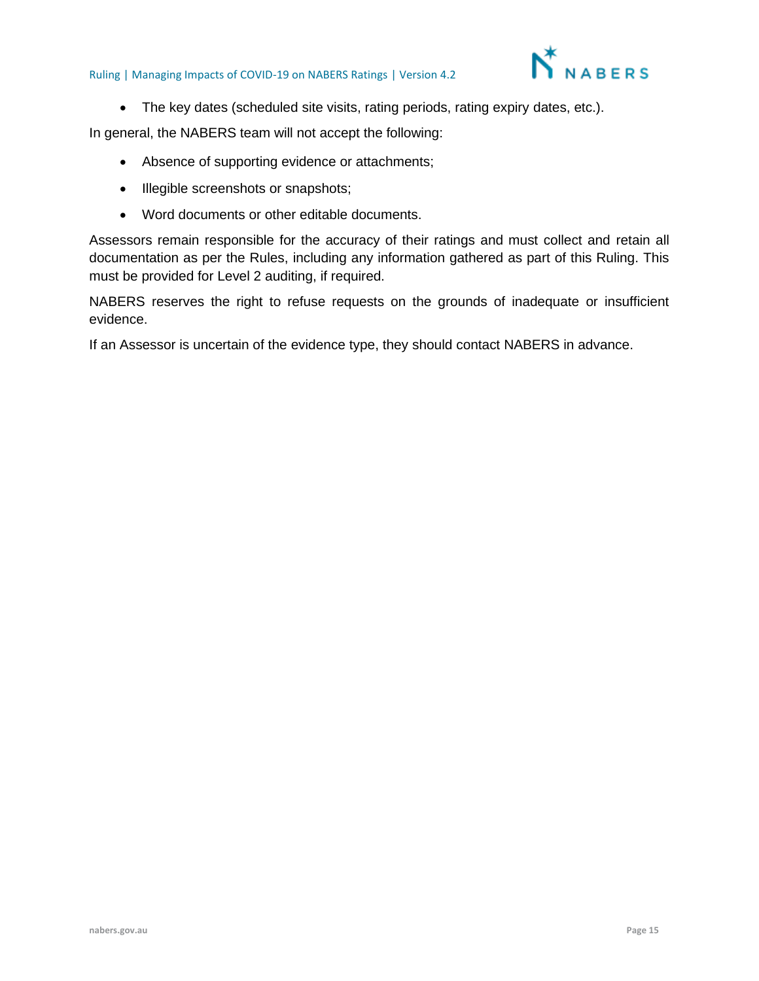

• The key dates (scheduled site visits, rating periods, rating expiry dates, etc.).

In general, the NABERS team will not accept the following:

- Absence of supporting evidence or attachments;
- Illegible screenshots or snapshots;
- Word documents or other editable documents.

Assessors remain responsible for the accuracy of their ratings and must collect and retain all documentation as per the Rules, including any information gathered as part of this Ruling. This must be provided for Level 2 auditing, if required.

NABERS reserves the right to refuse requests on the grounds of inadequate or insufficient evidence.

If an Assessor is uncertain of the evidence type, they should contact NABERS in advance.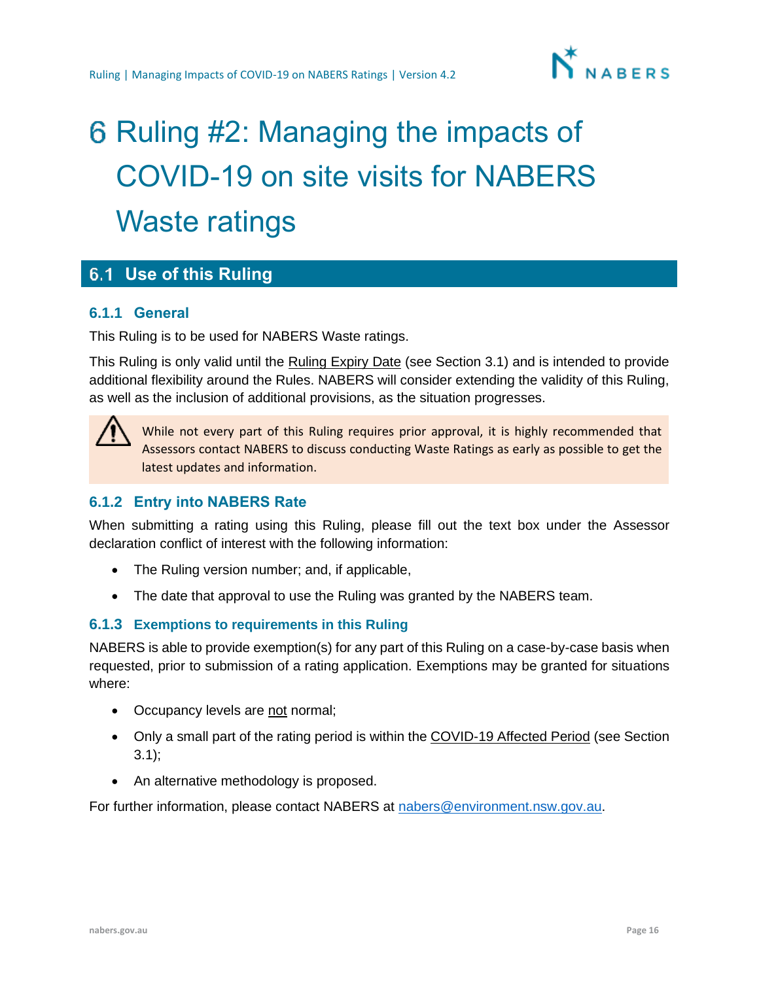

# <span id="page-15-0"></span>6 Ruling #2: Managing the impacts of COVID-19 on site visits for NABERS Waste ratings

## <span id="page-15-1"></span>**Use of this Ruling**

#### **6.1.1 General**

This Ruling is to be used for NABERS Waste ratings.

This Ruling is only valid until the Ruling Expiry Date (see Section [3.1\)](#page-3-1) and is intended to provide additional flexibility around the Rules. NABERS will consider extending the validity of this Ruling, as well as the inclusion of additional provisions, as the situation progresses.



While not every part of this Ruling requires prior approval, it is highly recommended that Assessors contact NABERS to discuss conducting Waste Ratings as early as possible to get the latest updates and information.

#### **6.1.2 Entry into NABERS Rate**

When submitting a rating using this Ruling, please fill out the text box under the Assessor declaration conflict of interest with the following information:

- The Ruling version number; and, if applicable,
- The date that approval to use the Ruling was granted by the NABERS team.

#### **6.1.3 Exemptions to requirements in this Ruling**

NABERS is able to provide exemption(s) for any part of this Ruling on a case-by-case basis when requested, prior to submission of a rating application. Exemptions may be granted for situations where:

- Occupancy levels are not normal;
- Only a small part of the rating period is within the COVID-19 Affected Period (see Section [3.1\)](#page-3-1);
- An alternative methodology is proposed.

For further information, please contact NABERS at [nabers@environment.nsw.gov.au.](mailto:nabers@environment.nsw.gov.au)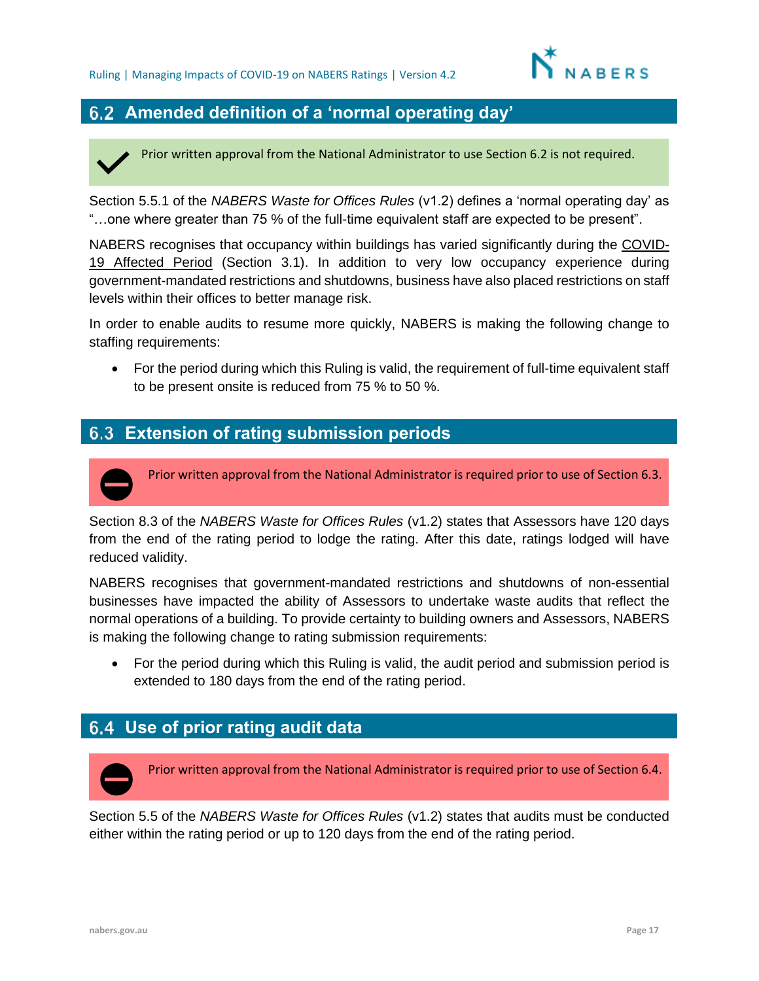

## <span id="page-16-0"></span>**Amended definition of a 'normal operating day'**

Prior written approval from the National Administrator to use Section 6.2 is not required.

Section 5.5.1 of the *NABERS Waste for Offices Rules* (v1.2) defines a 'normal operating day' as "…one where greater than 75 % of the full-time equivalent staff are expected to be present".

NABERS recognises that occupancy within buildings has varied significantly during the COVID-19 Affected Period (Section [3.1\)](#page-3-1). In addition to very low occupancy experience during government-mandated restrictions and shutdowns, business have also placed restrictions on staff levels within their offices to better manage risk.

In order to enable audits to resume more quickly, NABERS is making the following change to staffing requirements:

• For the period during which this Ruling is valid, the requirement of full-time equivalent staff to be present onsite is reduced from 75 % to 50 %.

## <span id="page-16-1"></span>**Extension of rating submission periods**

Prior written approval from the National Administrator is required prior to use of Section 6.3.

Section 8.3 of the *NABERS Waste for Offices Rules* (v1.2) states that Assessors have 120 days from the end of the rating period to lodge the rating. After this date, ratings lodged will have reduced validity.

NABERS recognises that government-mandated restrictions and shutdowns of non-essential businesses have impacted the ability of Assessors to undertake waste audits that reflect the normal operations of a building. To provide certainty to building owners and Assessors, NABERS is making the following change to rating submission requirements:

• For the period during which this Ruling is valid, the audit period and submission period is extended to 180 days from the end of the rating period.

## <span id="page-16-2"></span>**Use of prior rating audit data**

Prior written approval from the National Administrator is required prior to use of Section 6.4.

Section 5.5 of the *NABERS Waste for Offices Rules* (v1.2) states that audits must be conducted either within the rating period or up to 120 days from the end of the rating period.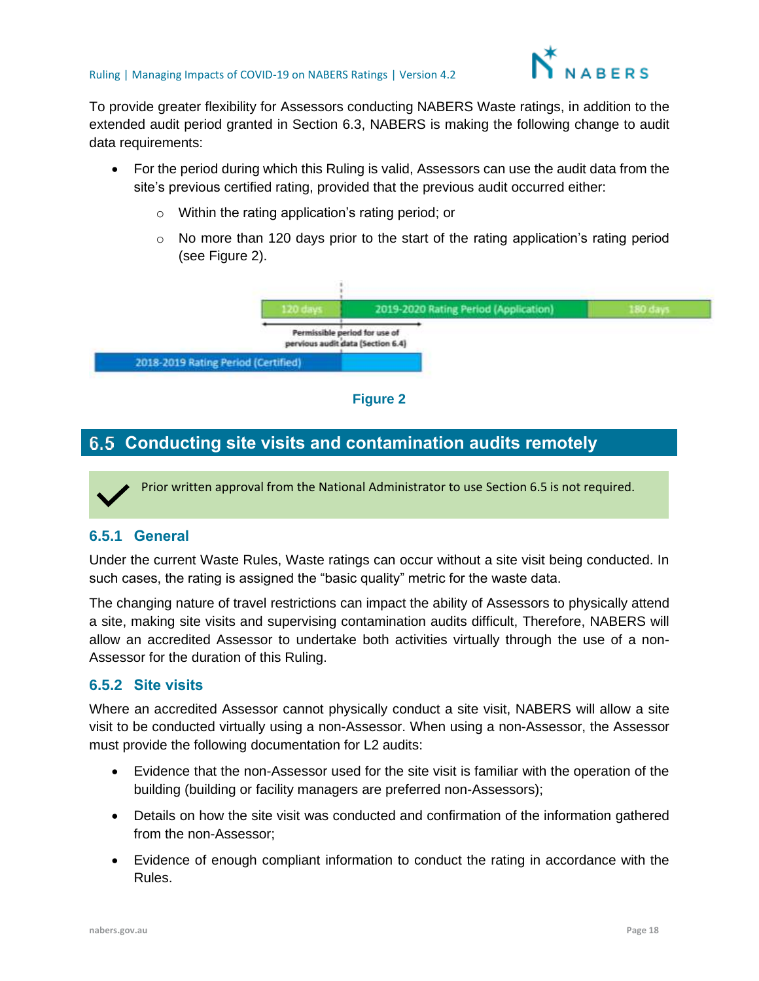

To provide greater flexibility for Assessors conducting NABERS Waste ratings, in addition to the extended audit period granted in Section [6.3,](#page-16-1) NABERS is making the following change to audit data requirements:

- For the period during which this Ruling is valid, Assessors can use the audit data from the site's previous certified rating, provided that the previous audit occurred either:
	- o Within the rating application's rating period; or
	- o No more than 120 days prior to the start of the rating application's rating period (see Figure 2).





## <span id="page-17-0"></span>**Conducting site visits and contamination audits remotely**

Prior written approval from the National Administrator to use Section 6.5 is not required.

#### **6.5.1 General**

Under the current Waste Rules, Waste ratings can occur without a site visit being conducted. In such cases, the rating is assigned the "basic quality" metric for the waste data.

The changing nature of travel restrictions can impact the ability of Assessors to physically attend a site, making site visits and supervising contamination audits difficult, Therefore, NABERS will allow an accredited Assessor to undertake both activities virtually through the use of a non-Assessor for the duration of this Ruling.

#### **6.5.2 Site visits**

Where an accredited Assessor cannot physically conduct a site visit, NABERS will allow a site visit to be conducted virtually using a non-Assessor. When using a non-Assessor, the Assessor must provide the following documentation for L2 audits:

- Evidence that the non-Assessor used for the site visit is familiar with the operation of the building (building or facility managers are preferred non-Assessors);
- Details on how the site visit was conducted and confirmation of the information gathered from the non-Assessor;
- Evidence of enough compliant information to conduct the rating in accordance with the Rules.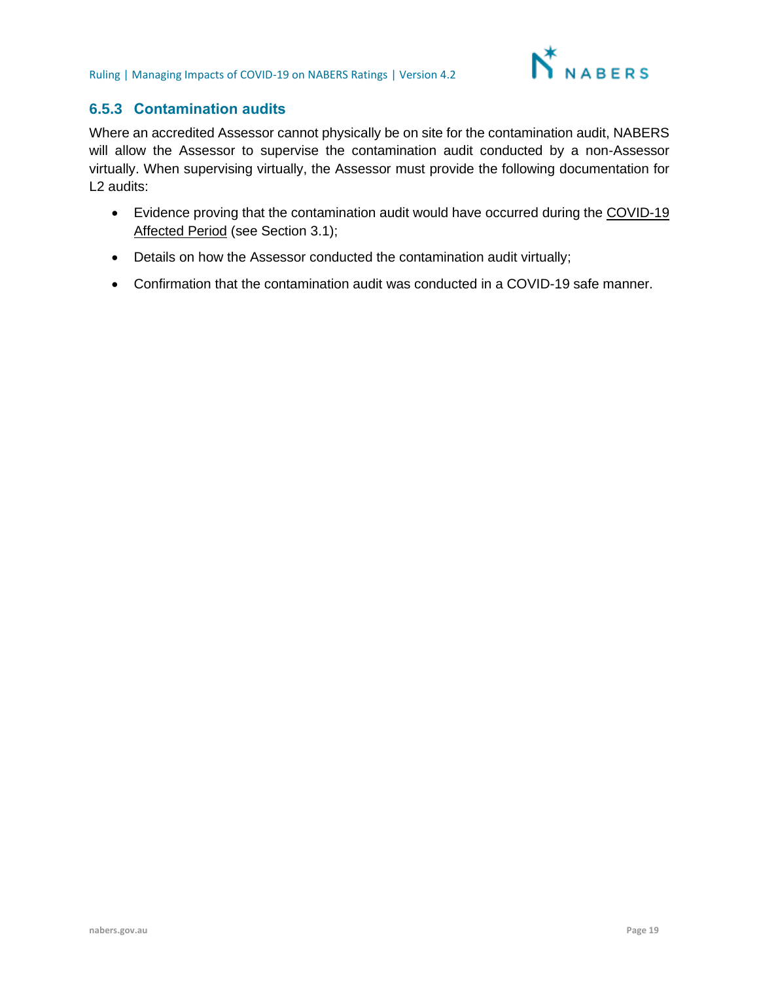

#### **6.5.3 Contamination audits**

Where an accredited Assessor cannot physically be on site for the contamination audit, NABERS will allow the Assessor to supervise the contamination audit conducted by a non-Assessor virtually. When supervising virtually, the Assessor must provide the following documentation for L<sub>2</sub> audits:

- Evidence proving that the contamination audit would have occurred during the COVID-19 Affected Period (see Section [3.1\)](#page-3-1);
- Details on how the Assessor conducted the contamination audit virtually;
- Confirmation that the contamination audit was conducted in a COVID-19 safe manner.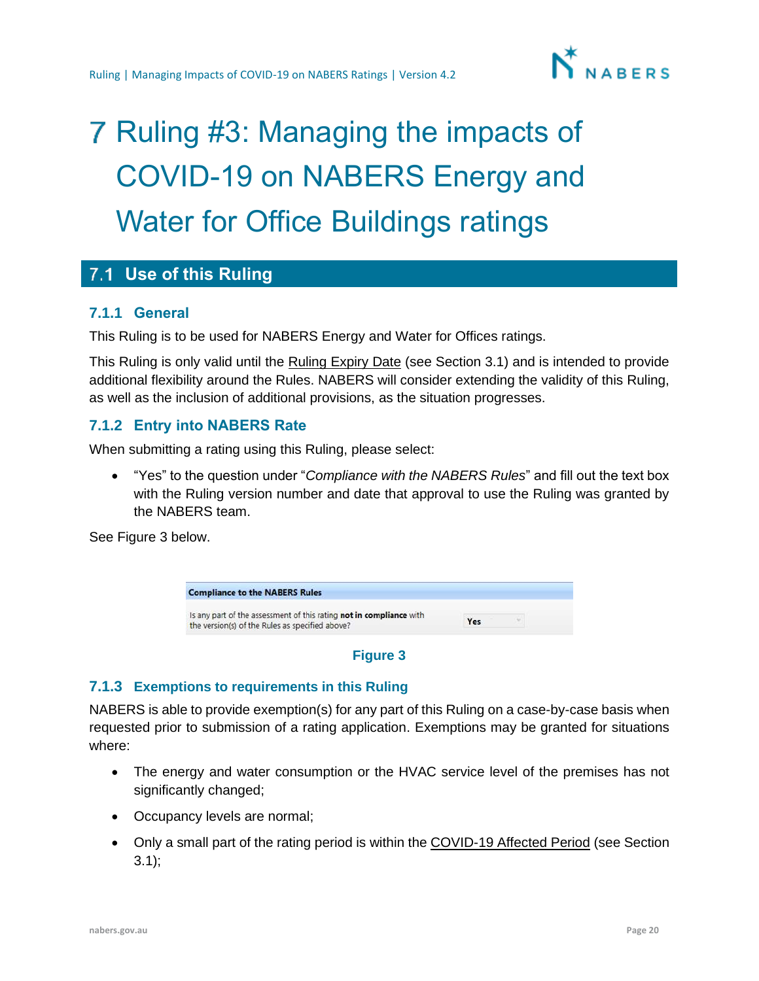

## <span id="page-19-0"></span>7 Ruling #3: Managing the impacts of COVID-19 on NABERS Energy and Water for Office Buildings ratings

## <span id="page-19-1"></span>**Use of this Ruling**

#### **7.1.1 General**

This Ruling is to be used for NABERS Energy and Water for Offices ratings.

This Ruling is only valid until the Ruling Expiry Date (see Section [3.1\)](#page-3-1) and is intended to provide additional flexibility around the Rules. NABERS will consider extending the validity of this Ruling, as well as the inclusion of additional provisions, as the situation progresses.

#### **7.1.2 Entry into NABERS Rate**

When submitting a rating using this Ruling, please select:

• "Yes" to the question under "*Compliance with the NABERS Rules*" and fill out the text box with the Ruling version number and date that approval to use the Ruling was granted by the NABERS team.

See Figure 3 below.



#### **Figure 3**

#### **7.1.3 Exemptions to requirements in this Ruling**

NABERS is able to provide exemption(s) for any part of this Ruling on a case-by-case basis when requested prior to submission of a rating application. Exemptions may be granted for situations where:

- The energy and water consumption or the HVAC service level of the premises has not significantly changed;
- Occupancy levels are normal;
- Only a small part of the rating period is within the COVID-19 Affected Period (see Section [3.1\)](#page-3-1);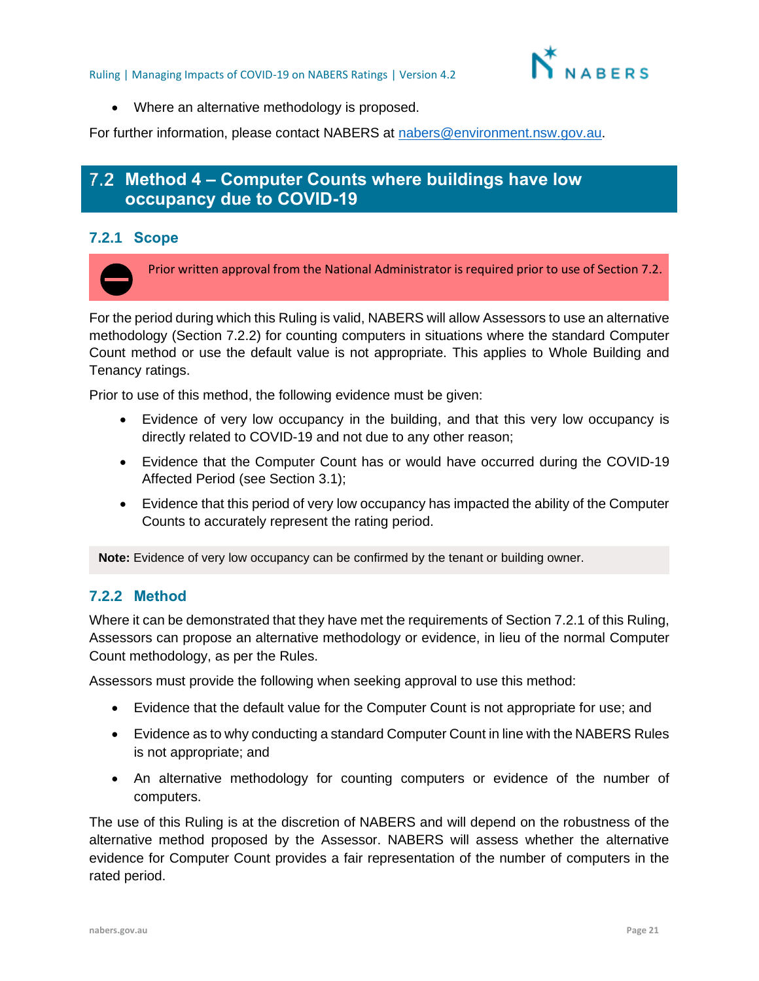

• Where an alternative methodology is proposed.

For further information, please contact NABERS at [nabers@environment.nsw.gov.au.](mailto:nabers@environment.nsw.gov.au)

## <span id="page-20-0"></span>**Method 4 – Computer Counts where buildings have low occupancy due to COVID-19**

#### <span id="page-20-2"></span>**7.2.1 Scope**

Prior written approval from the National Administrator is required prior to use of Section 7.2.

For the period during which this Ruling is valid, NABERS will allow Assessors to use an alternative methodology (Section [7.2.2\)](#page-20-1) for counting computers in situations where the standard Computer Count method or use the default value is not appropriate. This applies to Whole Building and Tenancy ratings.

Prior to use of this method, the following evidence must be given:

- Evidence of very low occupancy in the building, and that this very low occupancy is directly related to COVID-19 and not due to any other reason;
- Evidence that the Computer Count has or would have occurred during the COVID-19 Affected Period (see Section [3.1\)](#page-3-1);
- Evidence that this period of very low occupancy has impacted the ability of the Computer Counts to accurately represent the rating period.

**Note:** Evidence of very low occupancy can be confirmed by the tenant or building owner.

#### <span id="page-20-1"></span>**7.2.2 Method**

Where it can be demonstrated that they have met the requirements of Section [7.2.1](#page-20-2) of this Ruling, Assessors can propose an alternative methodology or evidence, in lieu of the normal Computer Count methodology, as per the Rules.

Assessors must provide the following when seeking approval to use this method:

- Evidence that the default value for the Computer Count is not appropriate for use; and
- Evidence as to why conducting a standard Computer Count in line with the NABERS Rules is not appropriate; and
- An alternative methodology for counting computers or evidence of the number of computers.

The use of this Ruling is at the discretion of NABERS and will depend on the robustness of the alternative method proposed by the Assessor. NABERS will assess whether the alternative evidence for Computer Count provides a fair representation of the number of computers in the rated period.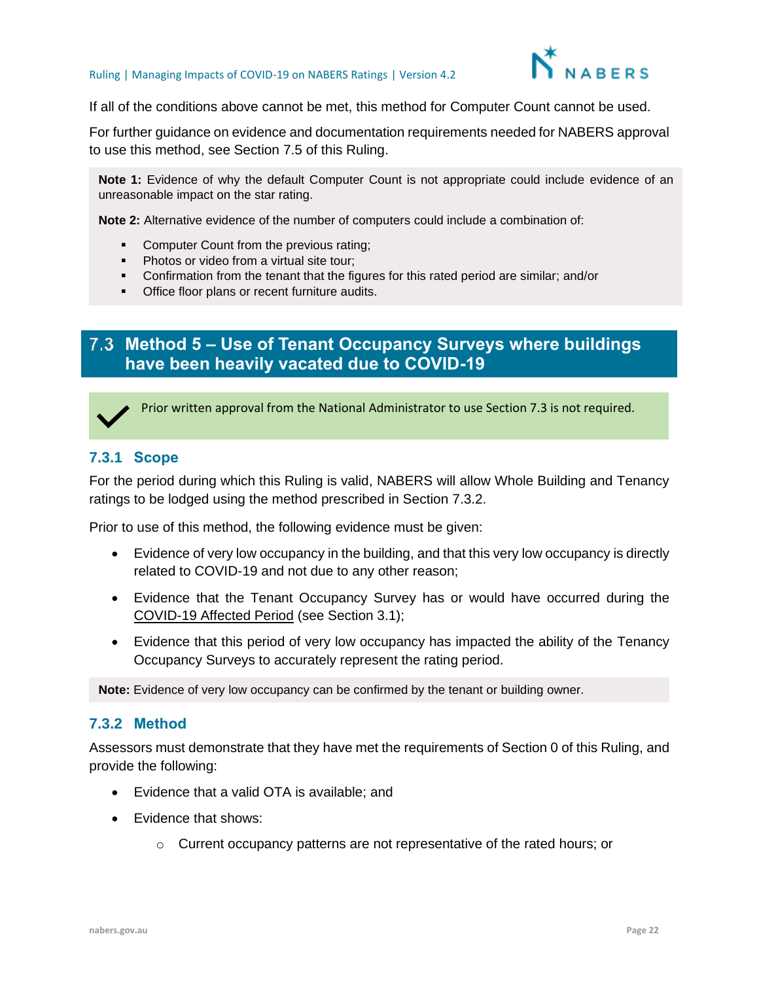

If all of the conditions above cannot be met, this method for Computer Count cannot be used.

For further guidance on evidence and documentation requirements needed for NABERS approval to use this method, see Section [7.5](#page-24-0) of this Ruling.

**Note 1:** Evidence of why the default Computer Count is not appropriate could include evidence of an unreasonable impact on the star rating.

**Note 2:** Alternative evidence of the number of computers could include a combination of:

- Computer Count from the previous rating;
- **•** Photos or video from a virtual site tour;
- Confirmation from the tenant that the figures for this rated period are similar; and/or
- Office floor plans or recent furniture audits.

## <span id="page-21-0"></span>**Method 5 – Use of Tenant Occupancy Surveys where buildings have been heavily vacated due to COVID-19**



<span id="page-21-2"></span>Prior written approval from the National Administrator to use Section 7.3 is not required.

#### **7.3.1 Scope**

For the period during which this Ruling is valid, NABERS will allow Whole Building and Tenancy ratings to be lodged using the method prescribed in Section [7.3.2.](#page-21-1)

Prior to use of this method, the following evidence must be given:

- Evidence of very low occupancy in the building, and that this very low occupancy is directly related to COVID-19 and not due to any other reason;
- Evidence that the Tenant Occupancy Survey has or would have occurred during the COVID-19 Affected Period (see Section [3.1\)](#page-3-1);
- Evidence that this period of very low occupancy has impacted the ability of the Tenancy Occupancy Surveys to accurately represent the rating period.

**Note:** Evidence of very low occupancy can be confirmed by the tenant or building owner.

#### <span id="page-21-1"></span>**7.3.2 Method**

Assessors must demonstrate that they have met the requirements of Section [0](#page-21-2) of this Ruling, and provide the following:

- Evidence that a valid OTA is available; and
- Evidence that shows:
	- o Current occupancy patterns are not representative of the rated hours; or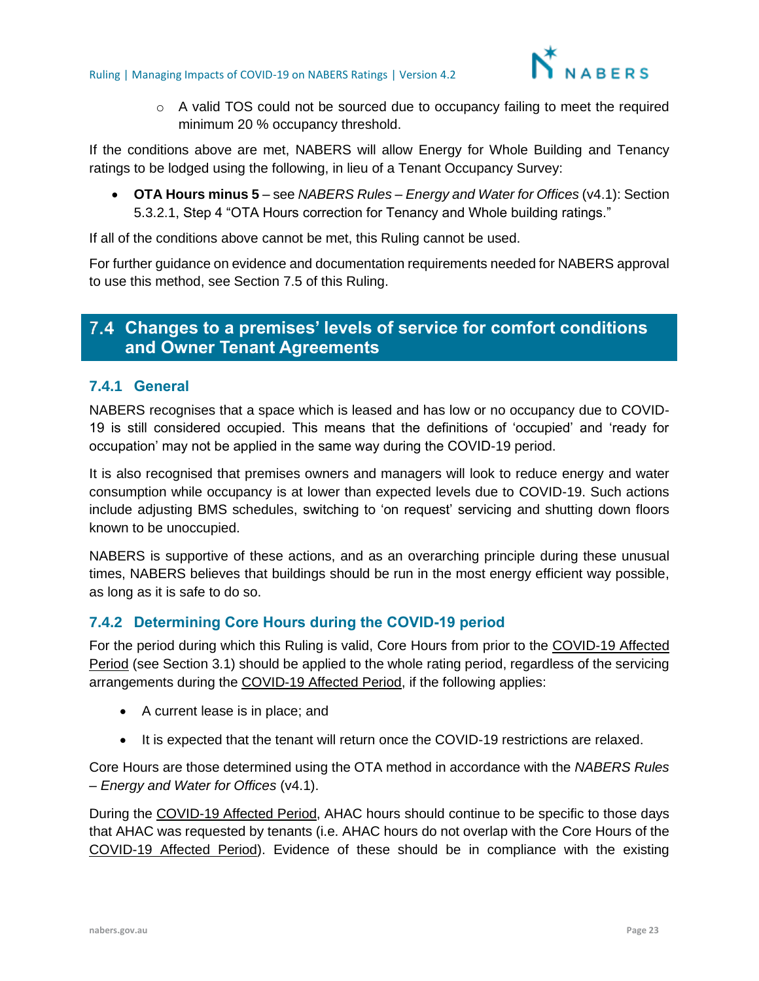

 $\circ$  A valid TOS could not be sourced due to occupancy failing to meet the required minimum 20 % occupancy threshold.

If the conditions above are met, NABERS will allow Energy for Whole Building and Tenancy ratings to be lodged using the following, in lieu of a Tenant Occupancy Survey:

• **OTA Hours minus 5** – see *NABERS Rules – Energy and Water for Offices* (v4.1): Section 5.3.2.1, Step 4 "OTA Hours correction for Tenancy and Whole building ratings."

If all of the conditions above cannot be met, this Ruling cannot be used.

For further guidance on evidence and documentation requirements needed for NABERS approval to use this method, see Section [7.5](#page-24-0) of this Ruling.

## <span id="page-22-0"></span>**Changes to a premises' levels of service for comfort conditions and Owner Tenant Agreements**

#### **7.4.1 General**

NABERS recognises that a space which is leased and has low or no occupancy due to COVID-19 is still considered occupied. This means that the definitions of 'occupied' and 'ready for occupation' may not be applied in the same way during the COVID-19 period.

It is also recognised that premises owners and managers will look to reduce energy and water consumption while occupancy is at lower than expected levels due to COVID-19. Such actions include adjusting BMS schedules, switching to 'on request' servicing and shutting down floors known to be unoccupied.

NABERS is supportive of these actions, and as an overarching principle during these unusual times, NABERS believes that buildings should be run in the most energy efficient way possible, as long as it is safe to do so.

#### **7.4.2 Determining Core Hours during the COVID-19 period**

For the period during which this Ruling is valid, Core Hours from prior to the COVID-19 Affected Period (see Section [3.1\)](#page-3-1) should be applied to the whole rating period, regardless of the servicing arrangements during the COVID-19 Affected Period, if the following applies:

- A current lease is in place; and
- It is expected that the tenant will return once the COVID-19 restrictions are relaxed.

Core Hours are those determined using the OTA method in accordance with the *NABERS Rules – Energy and Water for Offices* (v4.1).

During the COVID-19 Affected Period, AHAC hours should continue to be specific to those days that AHAC was requested by tenants (i.e. AHAC hours do not overlap with the Core Hours of the COVID-19 Affected Period). Evidence of these should be in compliance with the existing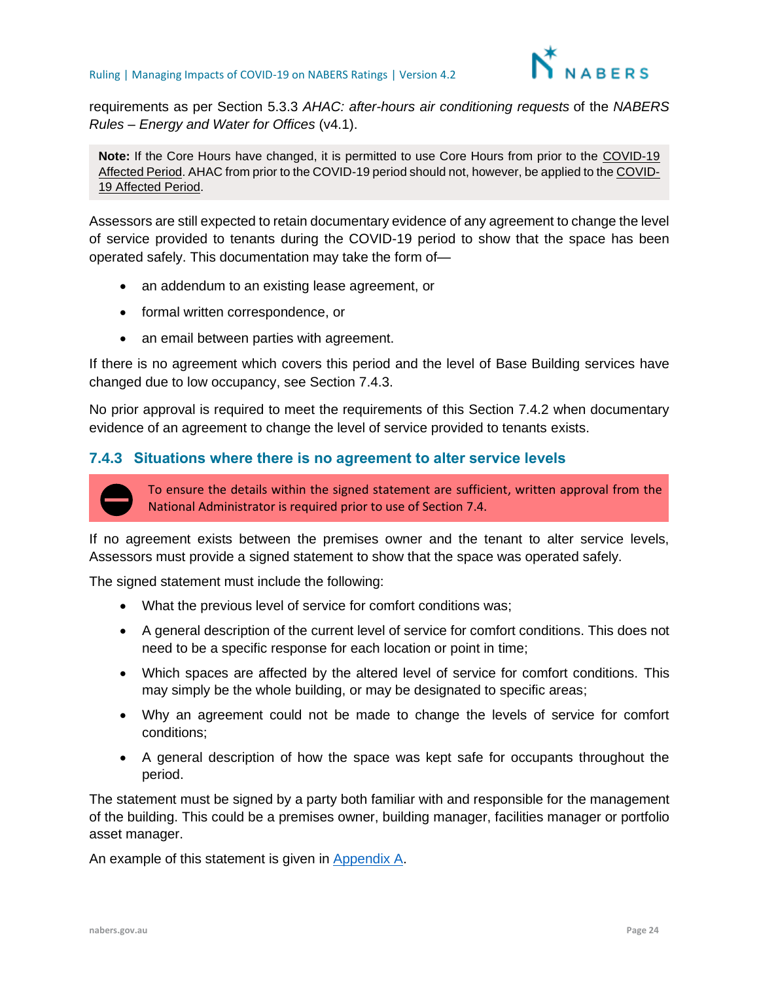

requirements as per Section 5.3.3 *AHAC: after-hours air conditioning requests* of the *NABERS Rules – Energy and Water for Offices* (v4.1).

**Note:** If the Core Hours have changed, it is permitted to use Core Hours from prior to the COVID-19 Affected Period. AHAC from prior to the COVID-19 period should not, however, be applied to the COVID-19 Affected Period.

Assessors are still expected to retain documentary evidence of any agreement to change the level of service provided to tenants during the COVID-19 period to show that the space has been operated safely. This documentation may take the form of—

- an addendum to an existing lease agreement, or
- formal written correspondence, or
- an email between parties with agreement.

If there is no agreement which covers this period and the level of Base Building services have changed due to low occupancy, see Section [7.4.3.](#page-23-0)

No prior approval is required to meet the requirements of this Section 7.4.2 when documentary evidence of an agreement to change the level of service provided to tenants exists.

#### <span id="page-23-0"></span>**7.4.3 Situations where there is no agreement to alter service levels**



To ensure the details within the signed statement are sufficient, written approval from the National Administrator is required prior to use of Section 7.4.

If no agreement exists between the premises owner and the tenant to alter service levels, Assessors must provide a signed statement to show that the space was operated safely.

The signed statement must include the following:

- What the previous level of service for comfort conditions was;
- A general description of the current level of service for comfort conditions. This does not need to be a specific response for each location or point in time;
- Which spaces are affected by the altered level of service for comfort conditions. This may simply be the whole building, or may be designated to specific areas;
- Why an agreement could not be made to change the levels of service for comfort conditions;
- A general description of how the space was kept safe for occupants throughout the period.

The statement must be signed by a party both familiar with and responsible for the management of the building. This could be a premises owner, building manager, facilities manager or portfolio asset manager.

An example of this statement is given in [Appendix A.](#page-39-0)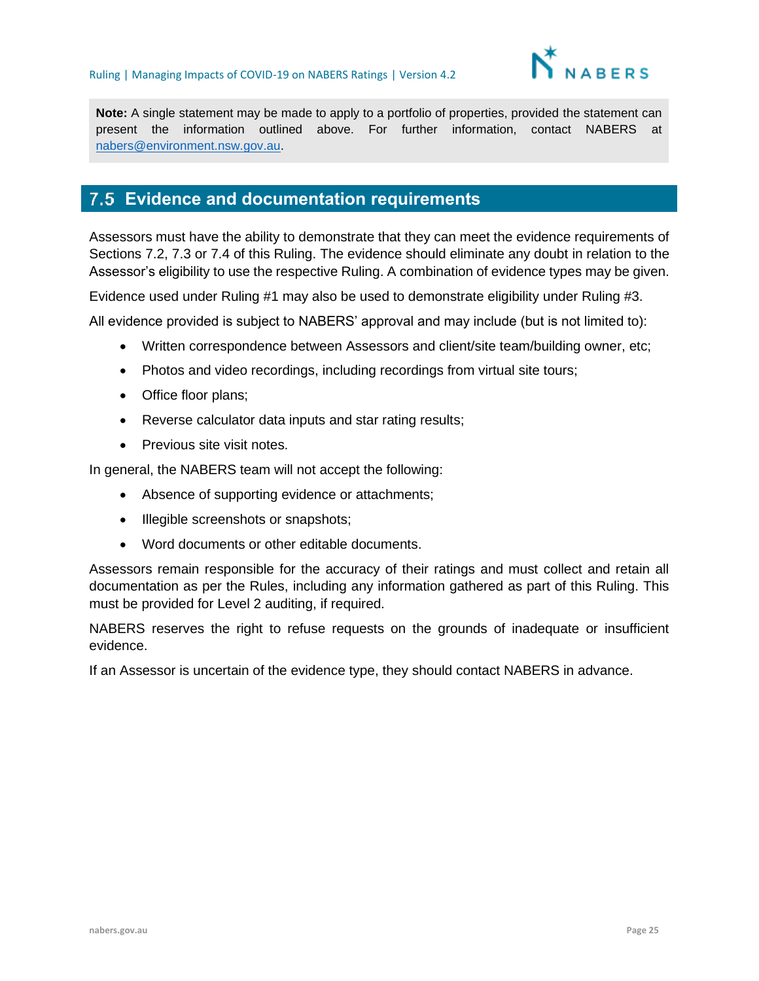

**Note:** A single statement may be made to apply to a portfolio of properties, provided the statement can present the information outlined above. For further information, contact NABERS at [nabers@environment.nsw.gov.au.](mailto:nabers@environment.nsw.gov.au)

## <span id="page-24-0"></span>**Evidence and documentation requirements**

Assessors must have the ability to demonstrate that they can meet the evidence requirements of Sections [7.2,](#page-20-0) [7.3](#page-21-0) or [7.4](#page-22-0) of this Ruling. The evidence should eliminate any doubt in relation to the Assessor's eligibility to use the respective Ruling. A combination of evidence types may be given.

Evidence used under Ruling #1 may also be used to demonstrate eligibility under Ruling #3.

All evidence provided is subject to NABERS' approval and may include (but is not limited to):

- Written correspondence between Assessors and client/site team/building owner, etc;
- Photos and video recordings, including recordings from virtual site tours;
- Office floor plans;
- Reverse calculator data inputs and star rating results;
- Previous site visit notes.

In general, the NABERS team will not accept the following:

- Absence of supporting evidence or attachments;
- Illegible screenshots or snapshots;
- Word documents or other editable documents.

Assessors remain responsible for the accuracy of their ratings and must collect and retain all documentation as per the Rules, including any information gathered as part of this Ruling. This must be provided for Level 2 auditing, if required.

NABERS reserves the right to refuse requests on the grounds of inadequate or insufficient evidence.

If an Assessor is uncertain of the evidence type, they should contact NABERS in advance.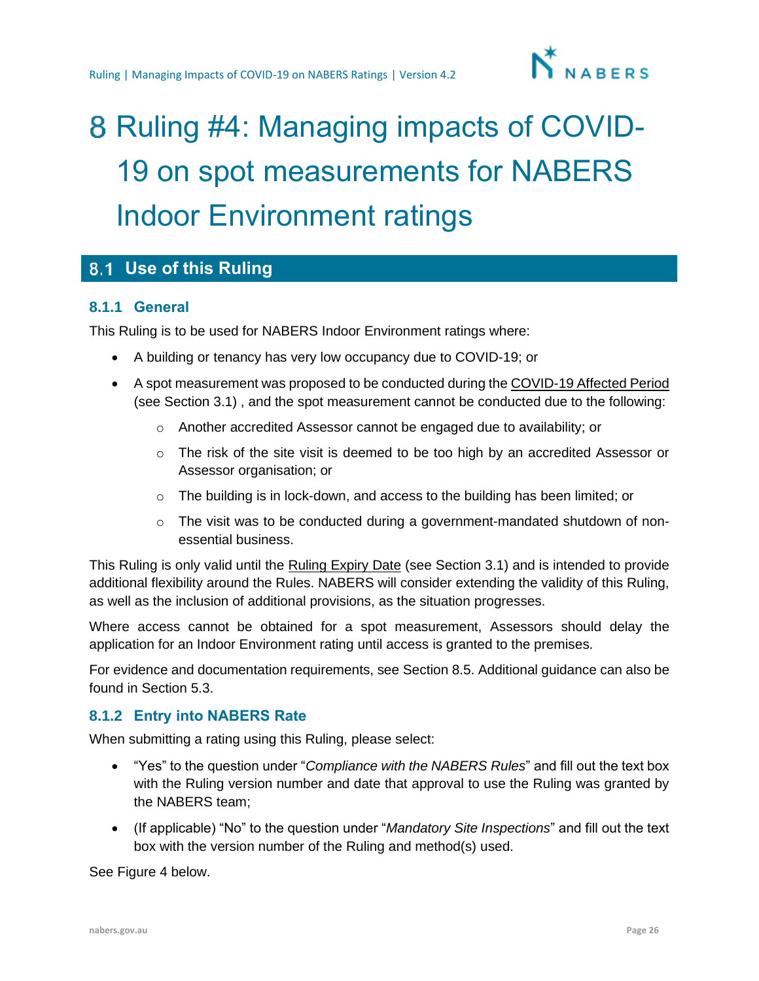

# <span id="page-25-0"></span>8 Ruling #4: Managing impacts of COVID-19 on spot measurements for NABERS Indoor Environment ratings

## <span id="page-25-1"></span>**Use of this Ruling**

#### **8.1.1 General**

This Ruling is to be used for NABERS Indoor Environment ratings where:

- A building or tenancy has very low occupancy due to COVID-19; or
- A spot measurement was proposed to be conducted during the COVID-19 Affected Period (see Section [3.1\)](#page-3-1) , and the spot measurement cannot be conducted due to the following:
	- o Another accredited Assessor cannot be engaged due to availability; or
	- $\circ$  The risk of the site visit is deemed to be too high by an accredited Assessor or Assessor organisation; or
	- o The building is in lock-down, and access to the building has been limited; or
	- $\circ$  The visit was to be conducted during a government-mandated shutdown of nonessential business.

This Ruling is only valid until the Ruling Expiry Date (see Section [3.1\)](#page-3-1) and is intended to provide additional flexibility around the Rules. NABERS will consider extending the validity of this Ruling, as well as the inclusion of additional provisions, as the situation progresses.

Where access cannot be obtained for a spot measurement, Assessors should delay the application for an Indoor Environment rating until access is granted to the premises.

For evidence and documentation requirements, see Section [8.5.](#page-34-0) Additional guidance can also be found in Section [5.3.](#page-13-0)

#### **8.1.2 Entry into NABERS Rate**

When submitting a rating using this Ruling, please select:

- "Yes" to the question under "*Compliance with the NABERS Rules*" and fill out the text box with the Ruling version number and date that approval to use the Ruling was granted by the NABERS team;
- (If applicable) "No" to the question under "*Mandatory Site Inspections*" and fill out the text box with the version number of the Ruling and method(s) used.

See Figure 4 below.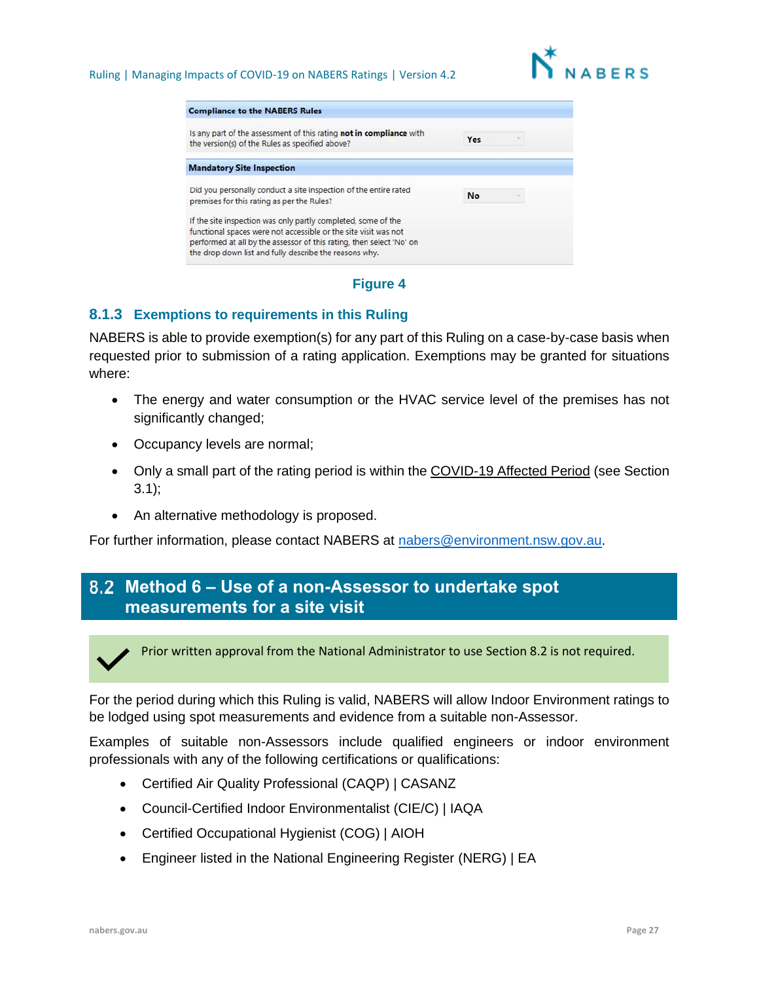

| <b>Compliance to the NABERS Rules</b>                                                                                          |           |  |
|--------------------------------------------------------------------------------------------------------------------------------|-----------|--|
| Is any part of the assessment of this rating not in compliance with<br>the version(s) of the Rules as specified above?         | Yes       |  |
| <b>Mandatory Site Inspection</b>                                                                                               |           |  |
| Did you personally conduct a site inspection of the entire rated<br>premises for this rating as per the Rules?                 | <b>No</b> |  |
| If the site inspection was only partly completed, some of the                                                                  |           |  |
| functional spaces were not accessible or the site visit was not                                                                |           |  |
| performed at all by the assessor of this rating, then select 'No' on<br>the drop down list and fully describe the reasons why. |           |  |



#### **8.1.3 Exemptions to requirements in this Ruling**

NABERS is able to provide exemption(s) for any part of this Ruling on a case-by-case basis when requested prior to submission of a rating application. Exemptions may be granted for situations where:

- The energy and water consumption or the HVAC service level of the premises has not significantly changed;
- Occupancy levels are normal;
- Only a small part of the rating period is within the COVID-19 Affected Period (see Section  $3.1$ :
- An alternative methodology is proposed.

For further information, please contact NABERS at [nabers@environment.nsw.gov.au.](mailto:nabers@environment.nsw.gov.au)

## <span id="page-26-0"></span>**Method 6 – Use of a non-Assessor to undertake spot measurements for a site visit**



Prior written approval from the National Administrator to use Section 8.2 is not required.

For the period during which this Ruling is valid, NABERS will allow Indoor Environment ratings to be lodged using spot measurements and evidence from a suitable non-Assessor.

Examples of suitable non-Assessors include qualified engineers or indoor environment professionals with any of the following certifications or qualifications:

- Certified Air Quality Professional (CAQP) | CASANZ
- Council-Certified Indoor Environmentalist (CIE/C) | IAQA
- Certified Occupational Hygienist (COG) | AIOH
- Engineer listed in the National Engineering Register (NERG) | EA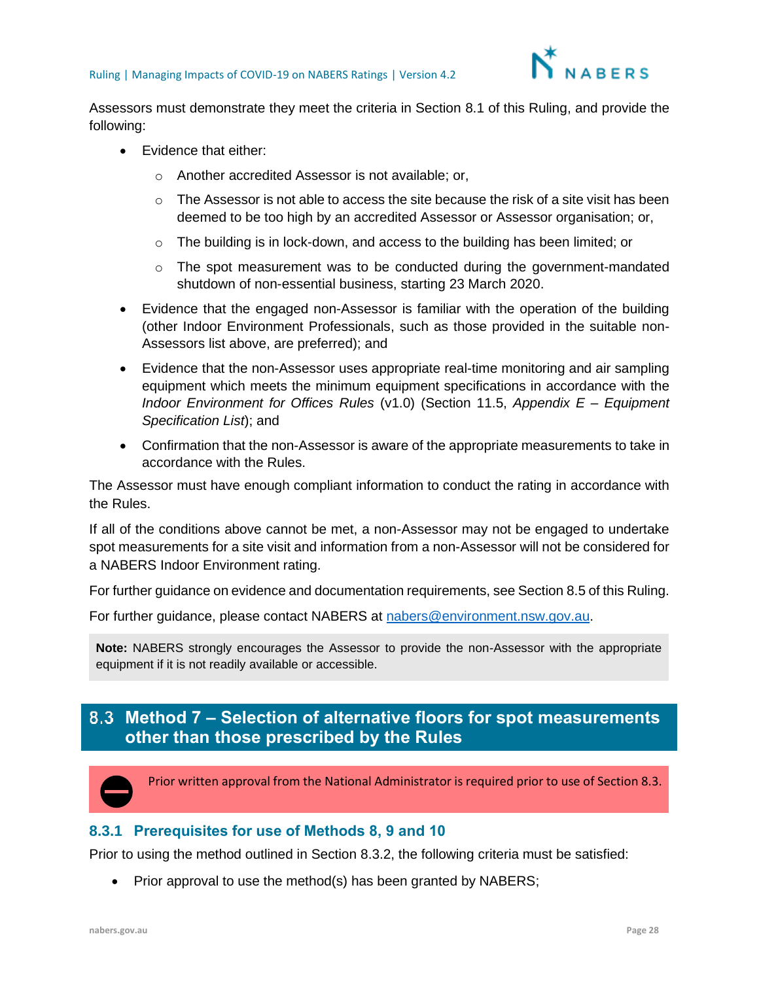

Assessors must demonstrate they meet the criteria in Section [8.1](#page-25-1) of this Ruling, and provide the following:

- Evidence that either:
	- o Another accredited Assessor is not available; or,
	- $\circ$  The Assessor is not able to access the site because the risk of a site visit has been deemed to be too high by an accredited Assessor or Assessor organisation; or,
	- $\circ$  The building is in lock-down, and access to the building has been limited; or
	- $\circ$  The spot measurement was to be conducted during the government-mandated shutdown of non-essential business, starting 23 March 2020.
- Evidence that the engaged non-Assessor is familiar with the operation of the building (other Indoor Environment Professionals, such as those provided in the suitable non-Assessors list above, are preferred); and
- Evidence that the non-Assessor uses appropriate real-time monitoring and air sampling equipment which meets the minimum equipment specifications in accordance with the *Indoor Environment for Offices Rules* (v1.0) (Section 11.5, *Appendix E – Equipment Specification List*); and
- Confirmation that the non-Assessor is aware of the appropriate measurements to take in accordance with the Rules.

The Assessor must have enough compliant information to conduct the rating in accordance with the Rules.

If all of the conditions above cannot be met, a non-Assessor may not be engaged to undertake spot measurements for a site visit and information from a non-Assessor will not be considered for a NABERS Indoor Environment rating.

For further guidance on evidence and documentation requirements, see Section [8.5](#page-34-0) of this Ruling.

For further guidance, please contact NABERS at [nabers@environment.nsw.gov.au.](mailto:nabers@environment.nsw.gov.au)

**Note:** NABERS strongly encourages the Assessor to provide the non-Assessor with the appropriate equipment if it is not readily available or accessible.

## <span id="page-27-0"></span>**Method 7 – Selection of alternative floors for spot measurements other than those prescribed by the Rules**



Prior written approval from the National Administrator is required prior to use of Section 8.3.

#### **8.3.1 Prerequisites for use of Methods 8, 9 and 10**

Prior to using the method outlined in Section [8.3.2,](#page-28-0) the following criteria must be satisfied:

Prior approval to use the method(s) has been granted by NABERS;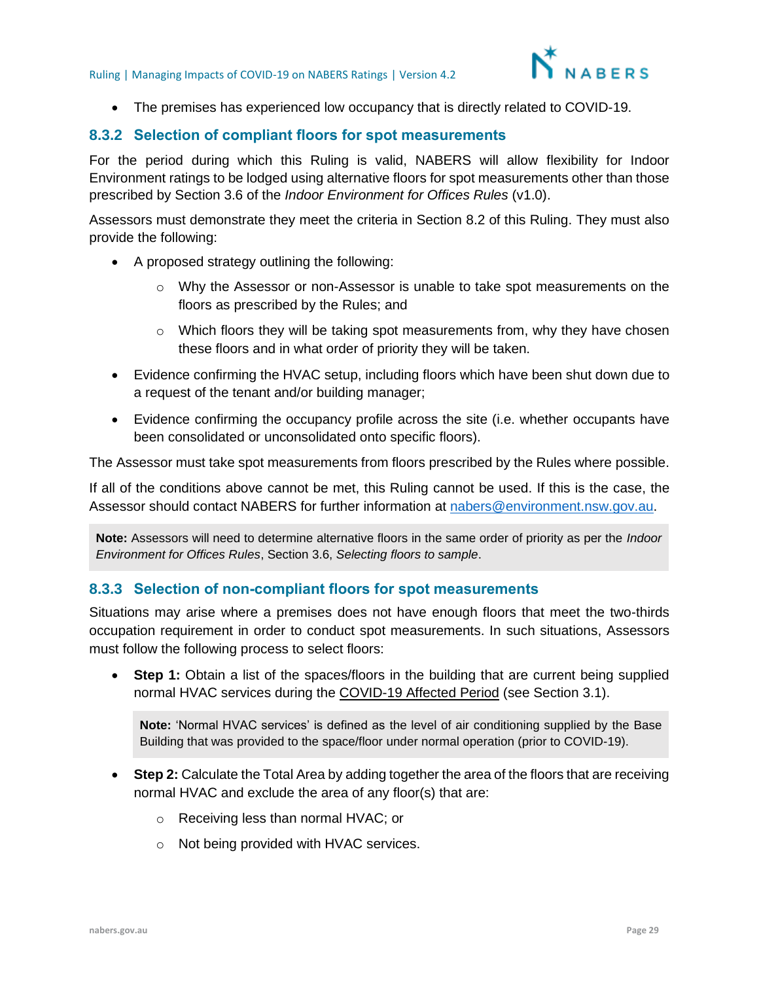

• The premises has experienced low occupancy that is directly related to COVID-19.

#### <span id="page-28-0"></span>**8.3.2 Selection of compliant floors for spot measurements**

For the period during which this Ruling is valid, NABERS will allow flexibility for Indoor Environment ratings to be lodged using alternative floors for spot measurements other than those prescribed by Section 3.6 of the *Indoor Environment for Offices Rules* (v1.0).

Assessors must demonstrate they meet the criteria in Section [8.2](#page-26-0) of this Ruling. They must also provide the following:

- A proposed strategy outlining the following:
	- o Why the Assessor or non-Assessor is unable to take spot measurements on the floors as prescribed by the Rules; and
	- $\circ$  Which floors they will be taking spot measurements from, why they have chosen these floors and in what order of priority they will be taken.
- Evidence confirming the HVAC setup, including floors which have been shut down due to a request of the tenant and/or building manager;
- Evidence confirming the occupancy profile across the site (i.e. whether occupants have been consolidated or unconsolidated onto specific floors).

The Assessor must take spot measurements from floors prescribed by the Rules where possible.

If all of the conditions above cannot be met, this Ruling cannot be used. If this is the case, the Assessor should contact NABERS for further information at [nabers@environment.nsw.gov.au.](mailto:nabers@environment.nsw.gov.au)

**Note:** Assessors will need to determine alternative floors in the same order of priority as per the *Indoor Environment for Offices Rules*, Section 3.6, *Selecting floors to sample*.

#### **8.3.3 Selection of non-compliant floors for spot measurements**

Situations may arise where a premises does not have enough floors that meet the two-thirds occupation requirement in order to conduct spot measurements. In such situations, Assessors must follow the following process to select floors:

• **Step 1:** Obtain a list of the spaces/floors in the building that are current being supplied normal HVAC services during the COVID-19 Affected Period (see Section [3.1\)](#page-3-1).

**Note:** 'Normal HVAC services' is defined as the level of air conditioning supplied by the Base Building that was provided to the space/floor under normal operation (prior to COVID-19).

- **Step 2:** Calculate the Total Area by adding together the area of the floors that are receiving normal HVAC and exclude the area of any floor(s) that are:
	- o Receiving less than normal HVAC; or
	- o Not being provided with HVAC services.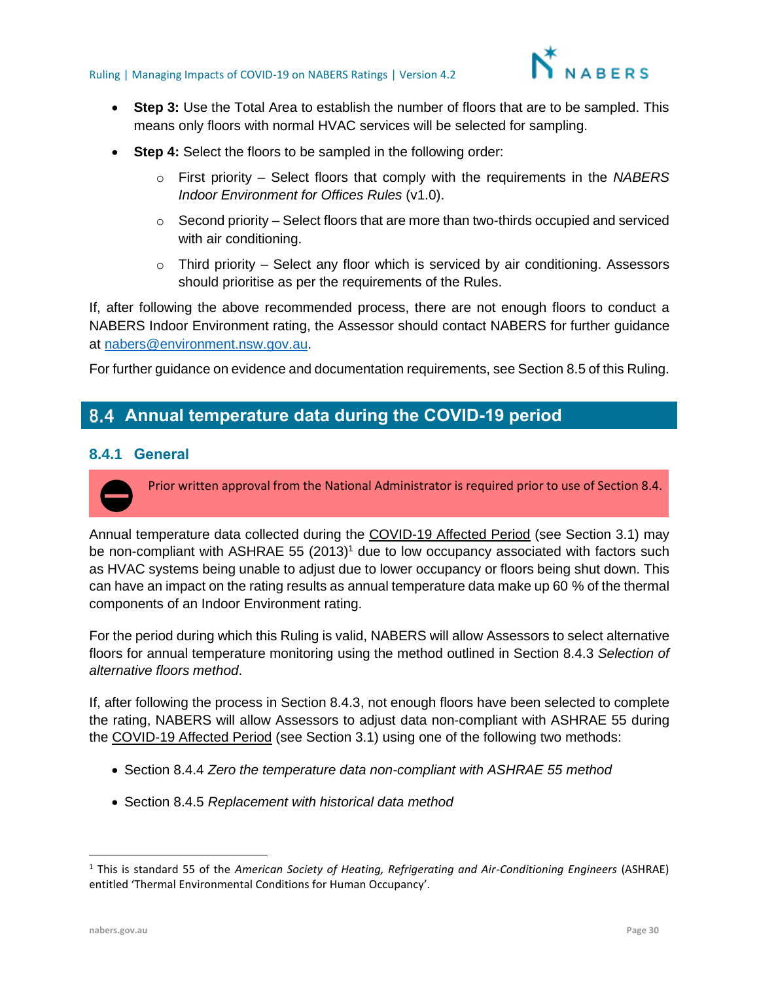

- **Step 3:** Use the Total Area to establish the number of floors that are to be sampled. This means only floors with normal HVAC services will be selected for sampling.
- **Step 4:** Select the floors to be sampled in the following order:
	- o First priority Select floors that comply with the requirements in the *NABERS Indoor Environment for Offices Rules* (v1.0).
	- $\circ$  Second priority Select floors that are more than two-thirds occupied and serviced with air conditioning.
	- $\circ$  Third priority Select any floor which is serviced by air conditioning. Assessors should prioritise as per the requirements of the Rules.

If, after following the above recommended process, there are not enough floors to conduct a NABERS Indoor Environment rating, the Assessor should contact NABERS for further guidance at [nabers@environment.nsw.gov.au.](mailto:nabers@environment.nsw.gov.au)

For further guidance on evidence and documentation requirements, see Section [8.5](#page-34-0) of this Ruling.

### <span id="page-29-0"></span>**Annual temperature data during the COVID-19 period**

#### **8.4.1 General**

Prior written approval from the National Administrator is required prior to use of Section 8.4.

Annual temperature data collected during the COVID-19 Affected Period (see Section [3.1\)](#page-3-1) may be non-compliant with ASHRAE 55  $(2013)^1$  due to low occupancy associated with factors such as HVAC systems being unable to adjust due to lower occupancy or floors being shut down. This can have an impact on the rating results as annual temperature data make up 60 % of the thermal components of an Indoor Environment rating.

For the period during which this Ruling is valid, NABERS will allow Assessors to select alternative floors for annual temperature monitoring using the method outlined in Section [8.4.3](#page-30-0) *Selection of alternative floors method*.

If, after following the process in Section 8.4.3, not enough floors have been selected to complete the rating, NABERS will allow Assessors to adjust data non-compliant with ASHRAE 55 during the COVID-19 Affected Period (see Section [3.1\)](#page-3-1) using one of the following two methods:

- Section [8.4.4](#page-33-0) *Zero the temperature data non-compliant with ASHRAE 55 method*
- Section [8.4.5](#page-33-1) *Replacement with historical data method*

<sup>1</sup> This is standard 55 of the *American Society of Heating, Refrigerating and Air-Conditioning Engineers* (ASHRAE) entitled 'Thermal Environmental Conditions for Human Occupancy'.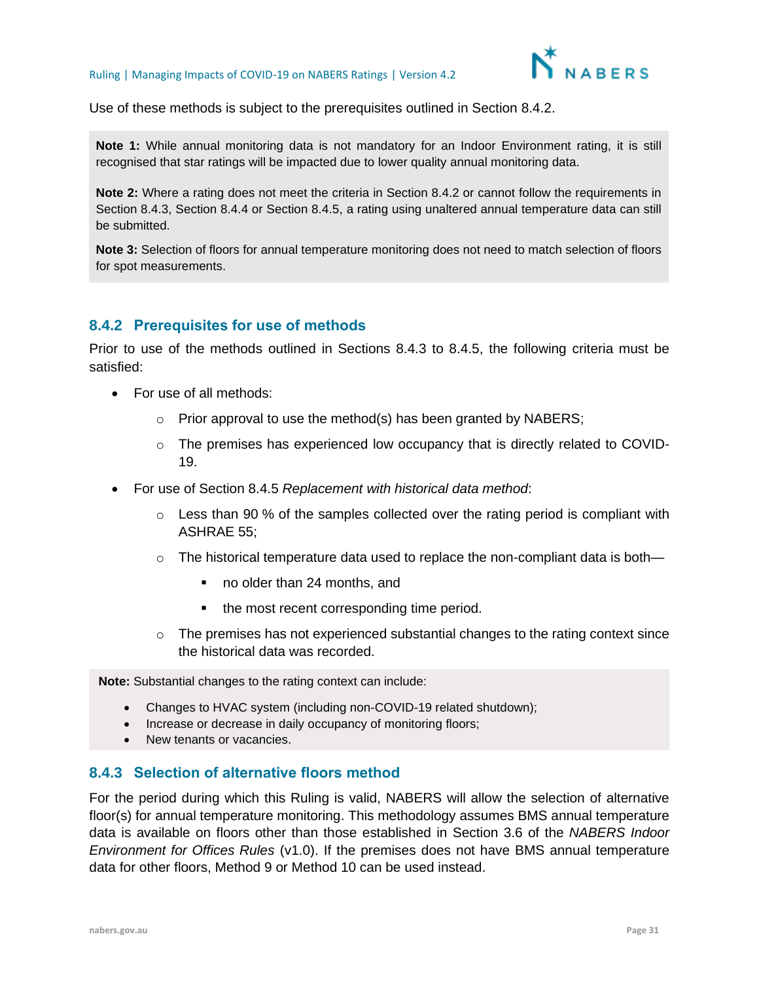

Use of these methods is subject to the prerequisites outlined in Section [8.4.2.](#page-30-1)

**Note 1:** While annual monitoring data is not mandatory for an Indoor Environment rating, it is still recognised that star ratings will be impacted due to lower quality annual monitoring data.

**Note 2:** Where a rating does not meet the criteria in Section 8.4.2 or cannot follow the requirements in Section 8.4.3, Section 8.4.4 or Section 8.4.5, a rating using unaltered annual temperature data can still be submitted.

**Note 3:** Selection of floors for annual temperature monitoring does not need to match selection of floors for spot measurements.

#### <span id="page-30-1"></span>**8.4.2 Prerequisites for use of methods**

Prior to use of the methods outlined in Sections 8.4.3 to 8.4.5, the following criteria must be satisfied:

- For use of all methods:
	- $\circ$  Prior approval to use the method(s) has been granted by NABERS;
	- $\circ$  The premises has experienced low occupancy that is directly related to COVID-19.
- For use of Section [8.4.5](#page-33-1) *Replacement with historical data method*:
	- $\circ$  Less than 90 % of the samples collected over the rating period is compliant with ASHRAE 55;
	- $\circ$  The historical temperature data used to replace the non-compliant data is both—
		- no older than 24 months, and
		- the most recent corresponding time period.
	- o The premises has not experienced substantial changes to the rating context since the historical data was recorded.

**Note:** Substantial changes to the rating context can include:

- Changes to HVAC system (including non-COVID-19 related shutdown);
- Increase or decrease in daily occupancy of monitoring floors;
- New tenants or vacancies.

#### <span id="page-30-0"></span>**8.4.3 Selection of alternative floors method**

For the period during which this Ruling is valid, NABERS will allow the selection of alternative floor(s) for annual temperature monitoring. This methodology assumes BMS annual temperature data is available on floors other than those established in Section 3.6 of the *NABERS Indoor Environment for Offices Rules* (v1.0). If the premises does not have BMS annual temperature data for other floors, Method 9 or Method 10 can be used instead.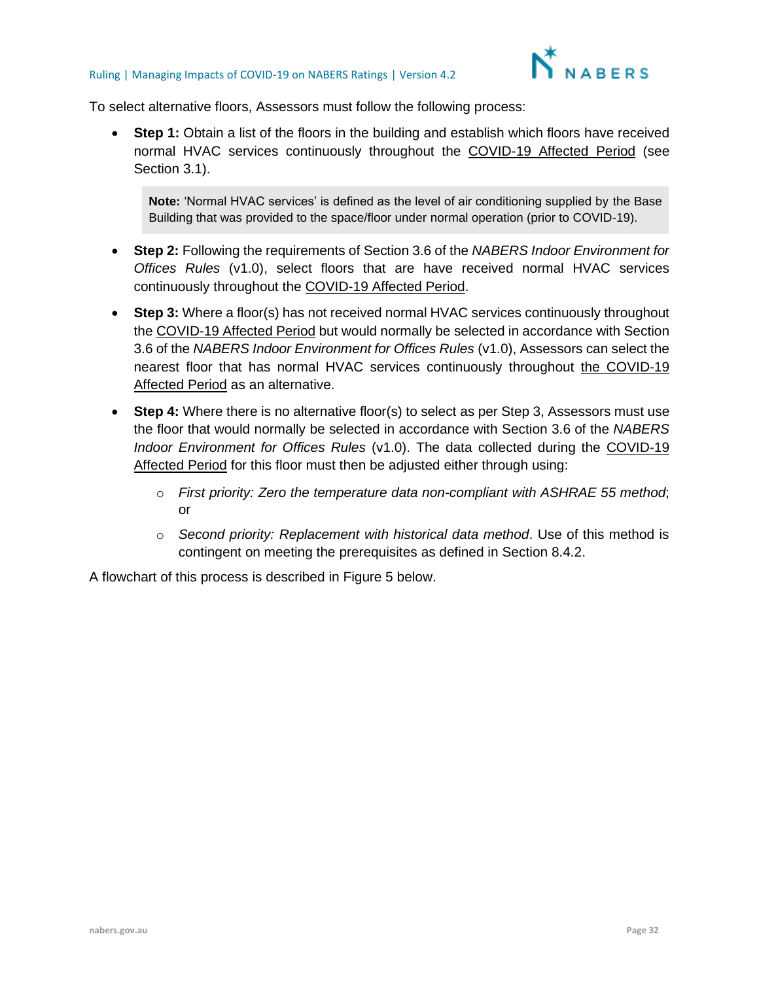

To select alternative floors, Assessors must follow the following process:

• **Step 1:** Obtain a list of the floors in the building and establish which floors have received normal HVAC services continuously throughout the COVID-19 Affected Period (see Section [3.1\)](#page-3-1).

**Note:** 'Normal HVAC services' is defined as the level of air conditioning supplied by the Base Building that was provided to the space/floor under normal operation (prior to COVID-19).

- **Step 2:** Following the requirements of Section 3.6 of the *NABERS Indoor Environment for Offices Rules* (v1.0), select floors that are have received normal HVAC services continuously throughout the COVID-19 Affected Period.
- **Step 3:** Where a floor(s) has not received normal HVAC services continuously throughout the COVID-19 Affected Period but would normally be selected in accordance with Section 3.6 of the *NABERS Indoor Environment for Offices Rules* (v1.0), Assessors can select the nearest floor that has normal HVAC services continuously throughout the COVID-19 **Affected Period as an alternative.**
- **Step 4:** Where there is no alternative floor(s) to select as per Step 3, Assessors must use the floor that would normally be selected in accordance with Section 3.6 of the *NABERS Indoor Environment for Offices Rules* (v1.0). The data collected during the COVID-19 Affected Period for this floor must then be adjusted either through using:
	- o *First priority: Zero the temperature data non-compliant with ASHRAE 55 method*; or
	- o *Second priority: Replacement with historical data method*. Use of this method is contingent on meeting the prerequisites as defined in Section [8.4.2.](#page-30-1)

A flowchart of this process is described in Figure 5 below.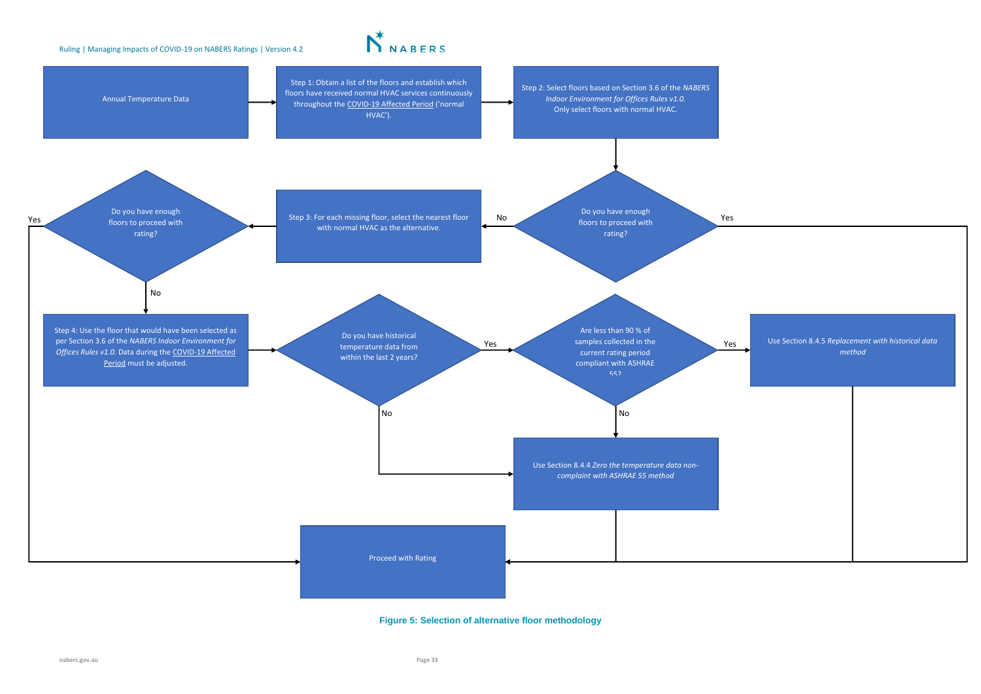

#### **Figure 5: Selection of alternative floor methodology**

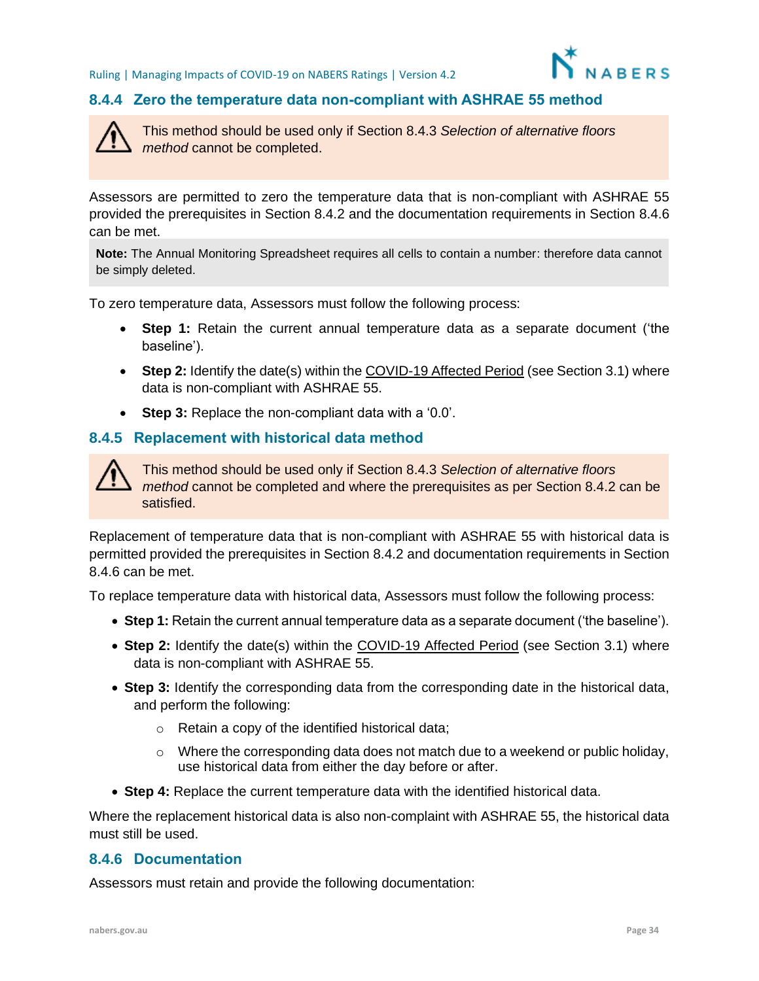

#### <span id="page-33-0"></span>**8.4.4 Zero the temperature data non-compliant with ASHRAE 55 method**



This method should be used only if Section 8.4.3 *Selection of alternative floors method* cannot be completed.

Assessors are permitted to zero the temperature data that is non-compliant with ASHRAE 55 provided the prerequisites in Section [8.4.2](#page-30-1) and the documentation requirements in Section [8.4.6](#page-33-2) can be met.

**Note:** The Annual Monitoring Spreadsheet requires all cells to contain a number: therefore data cannot be simply deleted.

To zero temperature data, Assessors must follow the following process:

- **Step 1:** Retain the current annual temperature data as a separate document ('the baseline').
- **Step 2:** Identify the date(s) within the COVID-19 Affected Period (see Sectio[n 3.1\)](#page-3-1) where data is non-compliant with ASHRAE 55.
- **Step 3:** Replace the non-compliant data with a '0.0'.

#### <span id="page-33-1"></span>**8.4.5 Replacement with historical data method**



This method should be used only if Section 8.4.3 *Selection of alternative floors method* cannot be completed and where the prerequisites as per Section 8.4.2 can be satisfied.

Replacement of temperature data that is non-compliant with ASHRAE 55 with historical data is permitted provided the prerequisites in Section [8.4.2](#page-30-1) and documentation requirements in Section [8.4.6](#page-33-2) can be met.

To replace temperature data with historical data, Assessors must follow the following process:

- **Step 1:** Retain the current annual temperature data as a separate document ('the baseline').
- **Step 2:** Identify the date(s) within the COVID-19 Affected Period (see Section [3.1\)](#page-3-1) where data is non-compliant with ASHRAE 55.
- **Step 3:** Identify the corresponding data from the corresponding date in the historical data, and perform the following:
	- o Retain a copy of the identified historical data;
	- $\circ$  Where the corresponding data does not match due to a weekend or public holiday, use historical data from either the day before or after.
- **Step 4:** Replace the current temperature data with the identified historical data.

Where the replacement historical data is also non-complaint with ASHRAE 55, the historical data must still be used.

#### <span id="page-33-2"></span>**8.4.6 Documentation**

Assessors must retain and provide the following documentation: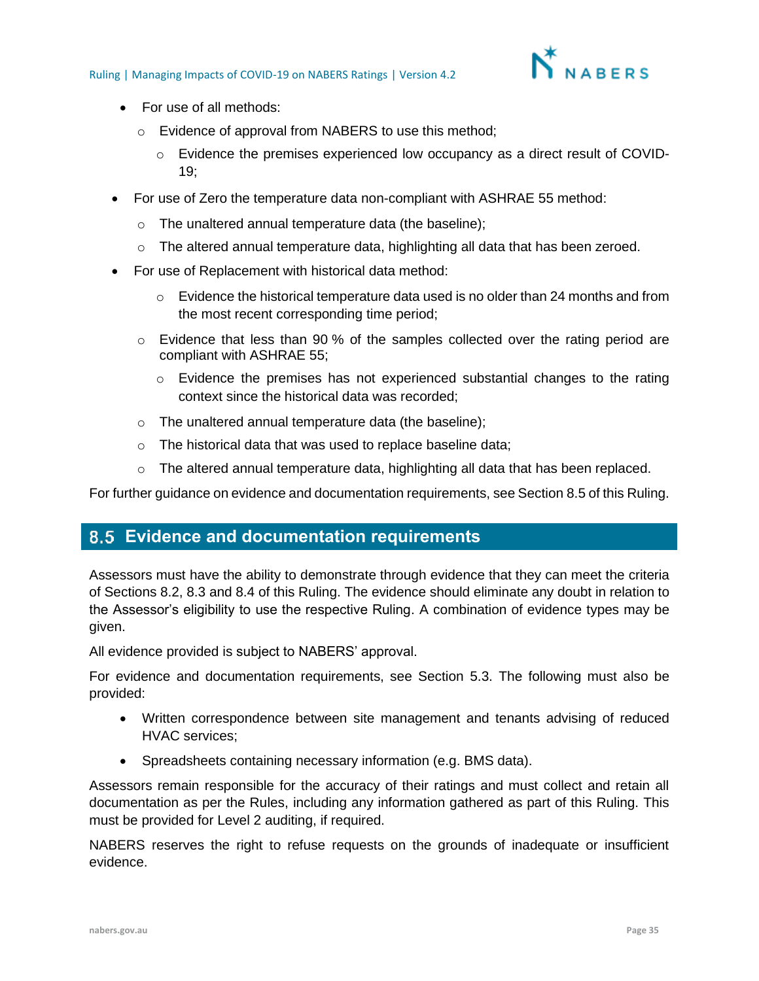

- For use of all methods:
	- o Evidence of approval from NABERS to use this method;
		- $\circ$  Evidence the premises experienced low occupancy as a direct result of COVID-19;
- For use of Zero the temperature data non-compliant with ASHRAE 55 method:
	- o The unaltered annual temperature data (the baseline);
	- $\circ$  The altered annual temperature data, highlighting all data that has been zeroed.
- For use of Replacement with historical data method:
	- $\circ$  Evidence the historical temperature data used is no older than 24 months and from the most recent corresponding time period;
	- o Evidence that less than 90 % of the samples collected over the rating period are compliant with ASHRAE 55;
		- $\circ$  Evidence the premises has not experienced substantial changes to the rating context since the historical data was recorded;
	- o The unaltered annual temperature data (the baseline);
	- o The historical data that was used to replace baseline data;
	- $\circ$  The altered annual temperature data, highlighting all data that has been replaced.

<span id="page-34-0"></span>For further guidance on evidence and documentation requirements, see Section 8.5 of this Ruling.

## **Evidence and documentation requirements**

Assessors must have the ability to demonstrate through evidence that they can meet the criteria of Sections [8.2,](#page-26-0) [8.3](#page-27-0) and [8.4](#page-29-0) of this Ruling. The evidence should eliminate any doubt in relation to the Assessor's eligibility to use the respective Ruling. A combination of evidence types may be given.

All evidence provided is subject to NABERS' approval.

For evidence and documentation requirements, see Section [5.3.](#page-13-0) The following must also be provided:

- Written correspondence between site management and tenants advising of reduced HVAC services;
- Spreadsheets containing necessary information (e.g. BMS data).

Assessors remain responsible for the accuracy of their ratings and must collect and retain all documentation as per the Rules, including any information gathered as part of this Ruling. This must be provided for Level 2 auditing, if required.

NABERS reserves the right to refuse requests on the grounds of inadequate or insufficient evidence.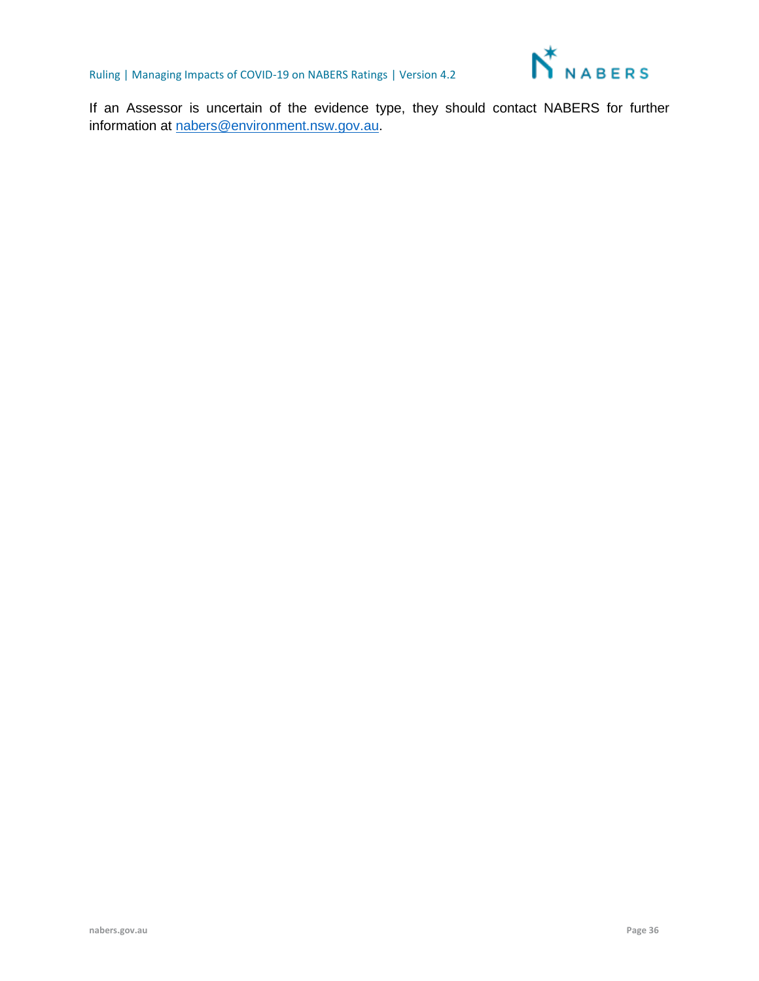

If an Assessor is uncertain of the evidence type, they should contact NABERS for further information at [nabers@environment.nsw.gov.au.](mailto:nabers@environment.nsw.gov.au)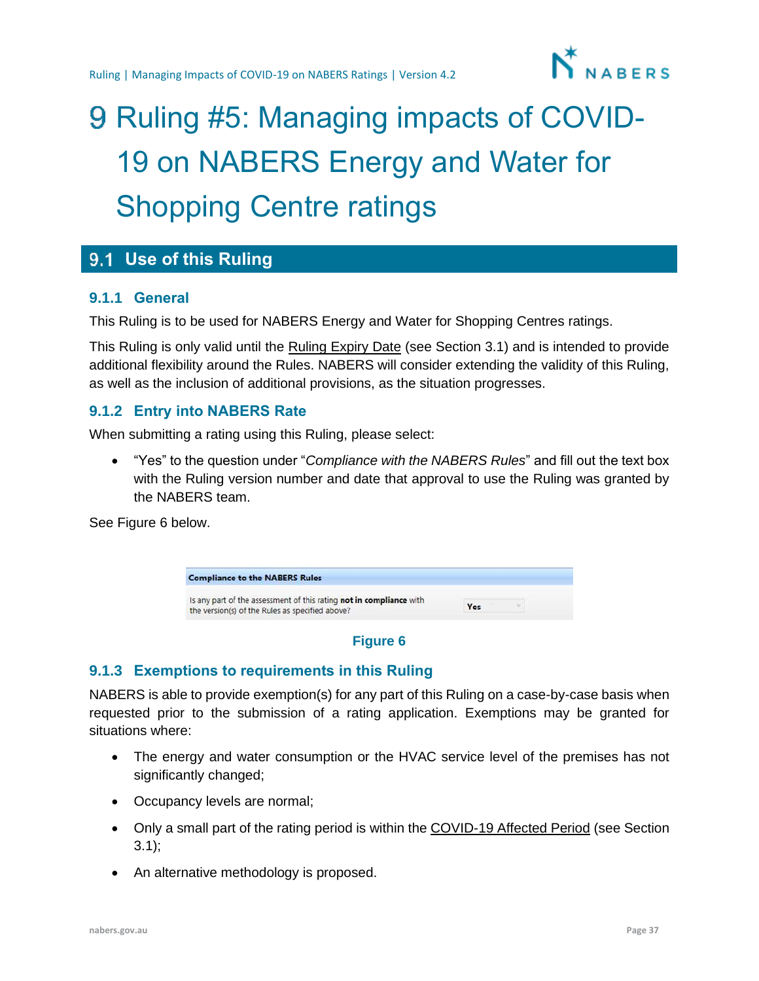

# <span id="page-36-0"></span>9 Ruling #5: Managing impacts of COVID-19 on NABERS Energy and Water for Shopping Centre ratings

## <span id="page-36-1"></span>**Use of this Ruling**

#### **9.1.1 General**

This Ruling is to be used for NABERS Energy and Water for Shopping Centres ratings.

This Ruling is only valid until the Ruling Expiry Date (see Section [3.1\)](#page-3-1) and is intended to provide additional flexibility around the Rules. NABERS will consider extending the validity of this Ruling, as well as the inclusion of additional provisions, as the situation progresses.

#### **9.1.2 Entry into NABERS Rate**

When submitting a rating using this Ruling, please select:

• "Yes" to the question under "*Compliance with the NABERS Rules*" and fill out the text box with the Ruling version number and date that approval to use the Ruling was granted by the NABERS team.

See Figure 6 below.



#### **Figure 6**

#### **9.1.3 Exemptions to requirements in this Ruling**

NABERS is able to provide exemption(s) for any part of this Ruling on a case-by-case basis when requested prior to the submission of a rating application. Exemptions may be granted for situations where:

- The energy and water consumption or the HVAC service level of the premises has not significantly changed;
- Occupancy levels are normal;
- Only a small part of the rating period is within the COVID-19 Affected Period (see Section [3.1\)](#page-3-1);
- An alternative methodology is proposed.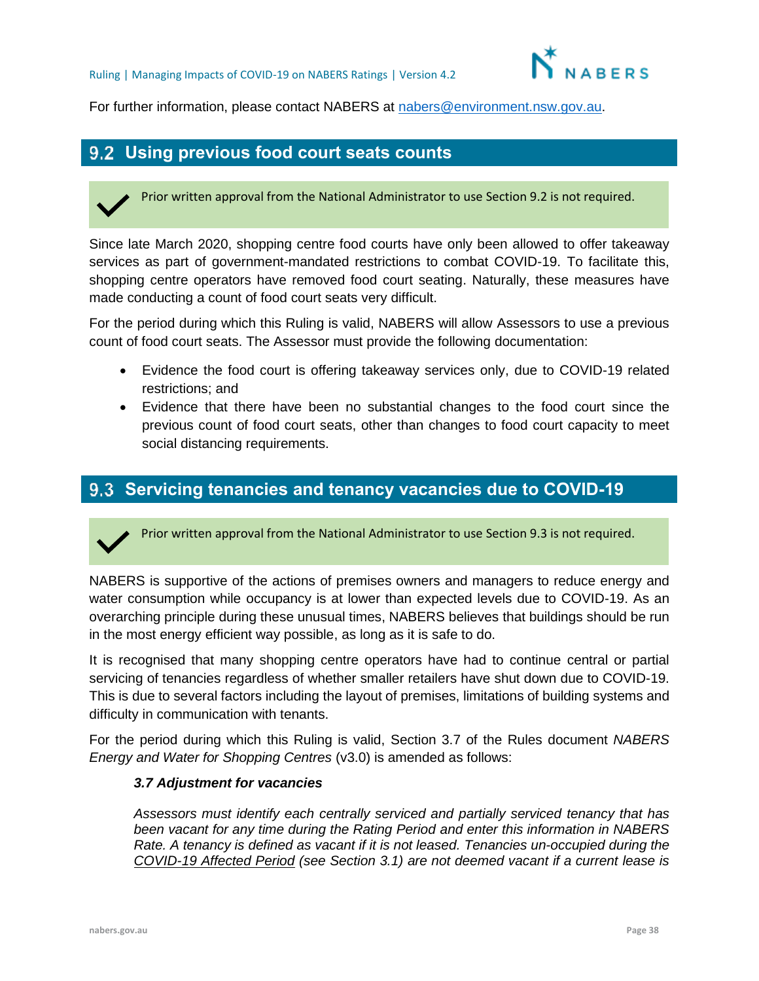

For further information, please contact NABERS at [nabers@environment.nsw.gov.au.](mailto:nabers@environment.nsw.gov.au)

## <span id="page-37-0"></span>**Using previous food court seats counts**

Prior written approval from the National Administrator to use Section 9.2 is not required.

Since late March 2020, shopping centre food courts have only been allowed to offer takeaway services as part of government-mandated restrictions to combat COVID-19. To facilitate this, shopping centre operators have removed food court seating. Naturally, these measures have made conducting a count of food court seats very difficult.

For the period during which this Ruling is valid, NABERS will allow Assessors to use a previous count of food court seats. The Assessor must provide the following documentation:

- Evidence the food court is offering takeaway services only, due to COVID-19 related restrictions; and
- Evidence that there have been no substantial changes to the food court since the previous count of food court seats, other than changes to food court capacity to meet social distancing requirements.

### <span id="page-37-1"></span>**Servicing tenancies and tenancy vacancies due to COVID-19**

Prior written approval from the National Administrator to use Section 9.3 is not required.

NABERS is supportive of the actions of premises owners and managers to reduce energy and water consumption while occupancy is at lower than expected levels due to COVID-19. As an overarching principle during these unusual times, NABERS believes that buildings should be run in the most energy efficient way possible, as long as it is safe to do.

It is recognised that many shopping centre operators have had to continue central or partial servicing of tenancies regardless of whether smaller retailers have shut down due to COVID-19. This is due to several factors including the layout of premises, limitations of building systems and difficulty in communication with tenants.

For the period during which this Ruling is valid, Section 3.7 of the Rules document *NABERS Energy and Water for Shopping Centres* (v3.0) is amended as follows:

#### *3.7 Adjustment for vacancies*

*Assessors must identify each centrally serviced and partially serviced tenancy that has been vacant for any time during the Rating Period and enter this information in NABERS Rate. A tenancy is defined as vacant if it is not leased. Tenancies un-occupied during the COVID-19 Affected Period (see Section 3.1) are not deemed vacant if a current lease is*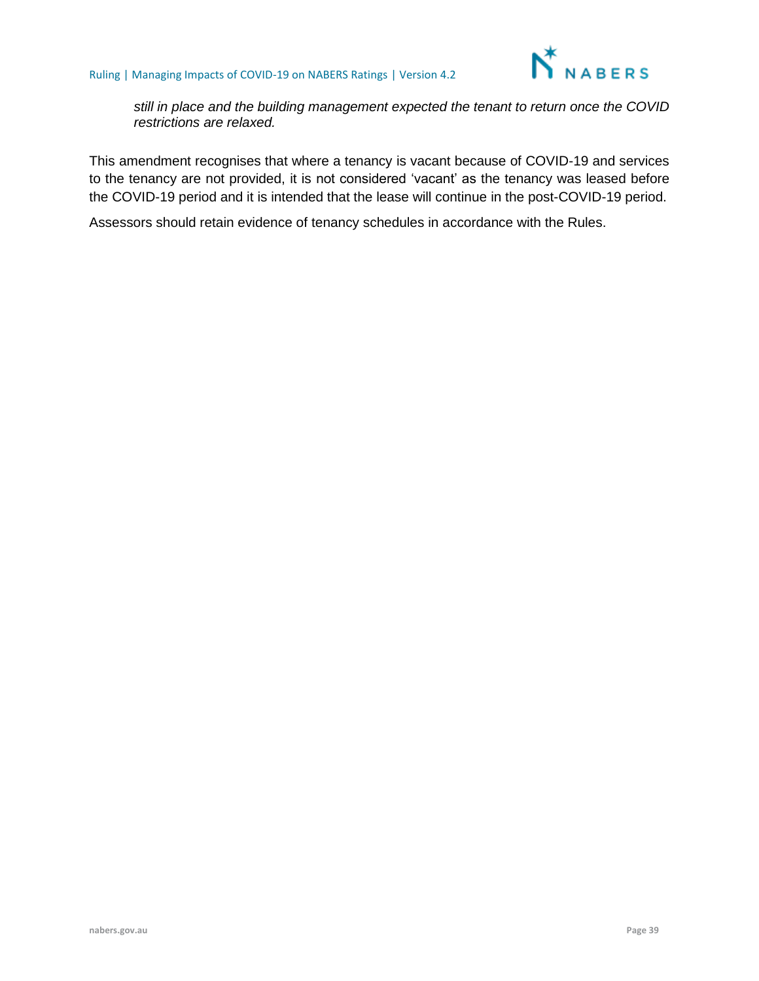

*still in place and the building management expected the tenant to return once the COVID restrictions are relaxed.*

This amendment recognises that where a tenancy is vacant because of COVID-19 and services to the tenancy are not provided, it is not considered 'vacant' as the tenancy was leased before the COVID-19 period and it is intended that the lease will continue in the post-COVID-19 period.

Assessors should retain evidence of tenancy schedules in accordance with the Rules.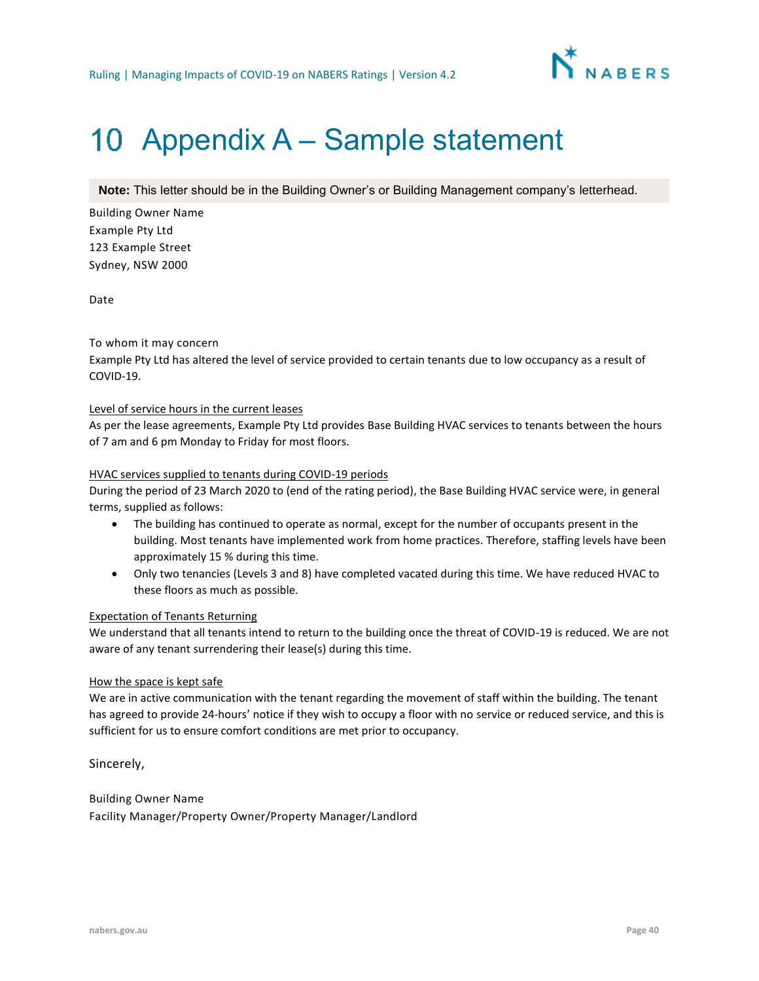

## <span id="page-39-0"></span>10 Appendix A – Sample statement

**Note:** This letter should be in the Building Owner's or Building Management company's letterhead.

Building Owner Name Example Pty Ltd 123 Example Street Sydney, NSW 2000

Date

#### To whom it may concern

Example Pty Ltd has altered the level of service provided to certain tenants due to low occupancy as a result of COVID-19.

#### Level of service hours in the current leases

As per the lease agreements, Example Pty Ltd provides Base Building HVAC services to tenants between the hours of 7 am and 6 pm Monday to Friday for most floors.

#### HVAC services supplied to tenants during COVID-19 periods

During the period of 23 March 2020 to (end of the rating period), the Base Building HVAC service were, in general terms, supplied as follows:

- The building has continued to operate as normal, except for the number of occupants present in the building. Most tenants have implemented work from home practices. Therefore, staffing levels have been approximately 15 % during this time.
- Only two tenancies (Levels 3 and 8) have completed vacated during this time. We have reduced HVAC to these floors as much as possible.

#### Expectation of Tenants Returning

We understand that all tenants intend to return to the building once the threat of COVID-19 is reduced. We are not aware of any tenant surrendering their lease(s) during this time.

#### How the space is kept safe

We are in active communication with the tenant regarding the movement of staff within the building. The tenant has agreed to provide 24-hours' notice if they wish to occupy a floor with no service or reduced service, and this is sufficient for us to ensure comfort conditions are met prior to occupancy.

Sincerely,

Building Owner Name Facility Manager/Property Owner/Property Manager/Landlord